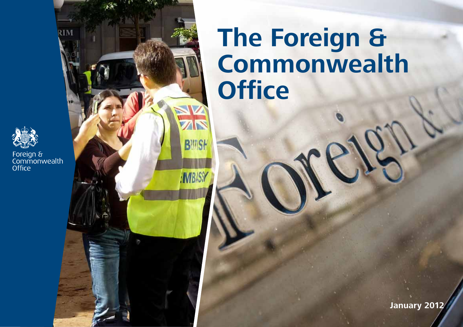

Foreign &<br>Commonwealth<br>Office

RIM

# **The Foreign & Commonwealth Office**

ZN

**BWSH** 

**IMBISSY** 

**January 2012**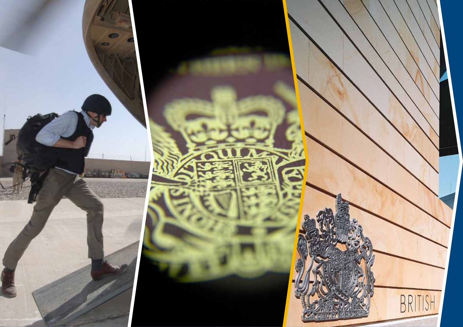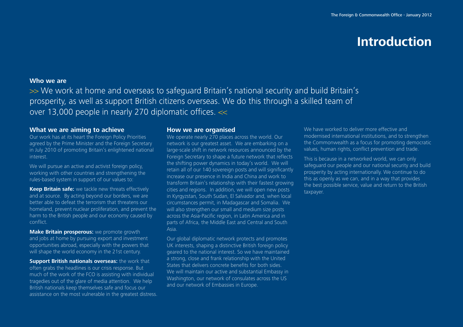### **Introduction**

### **Who we are**

>> We work at home and overseas to safeguard Britain's national security and build Britain's prosperity, as well as support British citizens overseas. We do this through a skilled team of over 13,000 people in nearly 270 diplomatic offices. <<

### **What we are aiming to achieve**

Our work has at its heart the Foreign Policy Priorities agreed by the Prime Minister and the Foreign Secretary in July 2010 of promoting Britain's enlightened national interest.

We will pursue an active and activist foreign policy, working with other countries and strengthening the rules-based system in support of our values to:

**Keep Britain safe:** we tackle new threats effectively and at source. By acting beyond our borders, we are better able to defeat the terrorism that threatens our homeland, prevent nuclear proliferation, and prevent the harm to the British people and our economy caused by conflict.

**Make Britain prosperous:** we promote growth and jobs at home by pursuing export and investment opportunities abroad, especially with the powers that will shape the world economy in the 21st century.

**Support British nationals overseas:** the work that often grabs the headlines is our crisis response. But much of the work of the FCO is assisting with individual tragedies out of the glare of media attention. We help British nationals keep themselves safe and focus our assistance on the most vulnerable in the greatest distress.

#### **How we are organised**

We operate nearly 270 places across the world. Our network is our greatest asset. We are embarking on a large-scale shift in network resources announced by the Foreign Secretary to shape a future network that reflects the shifting power dynamics in today's world. We will retain all of our 140 sovereign posts and will significantly increase our presence in India and China and work to transform Britain's relationship with their fastest growing cities and regions. In addition, we will open new posts in Kyrgyzstan, South Sudan, El Salvador and, when local circumstances permit, in Madagascar and Somalia. We will also strengthen our small and medium size posts across the Asia-Pacific region, in Latin America and in parts of Africa, the Middle East and Central and South Asia.

Our global diplomatic network protects and promotes UK interests, shaping a distinctive British foreign policy geared to the national interest. So we have maintained a strong, close and frank relationship with the United States that delivers concrete benefits for both sides. We will maintain our active and substantial Embassy in Washington, our network of consulates across the US and our network of Embassies in Europe.

We have worked to deliver more effective and modernised international institutions, and to strengthen the Commonwealth as a focus for promoting democratic values, human rights, conflict prevention and trade.

This is because in a networked world, we can only safeguard our people and our national security and build prosperity by acting internationally. We continue to do this as openly as we can, and in a way that provides the best possible service, value and return to the British taxpayer.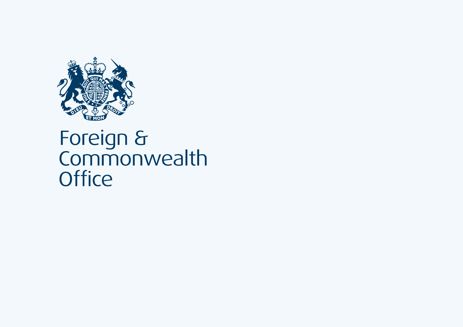

# Foreign &<br>Commonwealth Office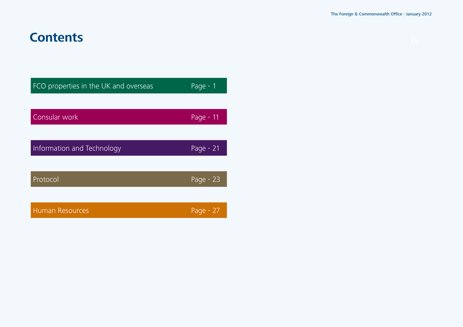### **Contents**

| u |  |
|---|--|
|   |  |
|   |  |

| FCO properties in the UK and overseas | Page - $1$  |
|---------------------------------------|-------------|
|                                       |             |
| Consular work                         | Page - $11$ |
|                                       |             |
| Information and Technology            | Page - $21$ |
|                                       |             |
| Protocol                              | Page - $23$ |
|                                       |             |
| <b>Human Resources</b>                | Page - 27   |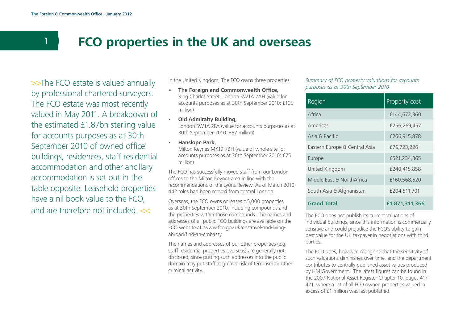### **FCO properties in the UK and overseas**

>>The FCO estate is valued annually by professional chartered surveyors. The FCO estate was most recently valued in May 2011. A breakdown of the estimated £1.87bn sterling value for accounts purposes as at 30th September 2010 of owned office buildings, residences, staff residential accommodation and other ancillary accommodation is set out in the table opposite. Leasehold properties have a nil book value to the FCO, and are therefore not included.  $\lt\lt$ 

In the United Kingdom, The FCO owns three properties:

- **Find Foreign and Commonwealth Office,** King Charles Street, London SW1A 2AH (value for accounts purposes as at 30th September 2010: £105 million)
- **Old Admiralty Building,**

London SW1A 2PA (value for accounts purposes as at 30th September 2010: £57 million)

**Hanslope Park,** 

Milton Keynes MK19 7BH (value of whole site for accounts purposes as at 30th September 2010: £75 million)

The FCO has successfully moved staff from our London offices to the Milton Keynes area in line with the recommendations of the Lyons Review. As of March 2010, 442 roles had been moved from central London.

Overseas, the FCO owns or leases c.5,000 properties as at 30th September 2010, including compounds and the properties within those compounds. The names and addresses of all public FCO buildings are available on the FCO website at: www.fco.gov.uk/en/travel-and-livingabroad/find-an-embassy

The names and addresses of our other properties (e.g. staff residential properties overseas) are generally not disclosed, since putting such addresses into the public domain may put staff at greater risk of terrorism or other criminal activity.

*Summary of FCO property valuations for accounts purposes as at 30th September 2010*

| Region                        | Property cost  |
|-------------------------------|----------------|
| Africa                        | £144,672,360   |
| Americas                      | £256,269,457   |
| Asia & Pacific                | £266,915,878   |
| Eastern Europe & Central Asia | £76,723,226    |
| Europe                        | £521,234,365   |
| United Kingdom                | £240,415,858   |
| Middle Fast & NorthAfrica     | £160,568,520   |
| South Asia & Afghanistan      | £204,511,701   |
| <b>Grand Total</b>            | £1,871,311,366 |

The FCO does not publish its current valuations of individual buildings, since this information is commercially sensitive and could prejudice the FCO's ability to gain best value for the UK taxpayer in negotiations with third parties.

The FCO does, however, recognise that the sensitivity of such valuations diminishes over time, and the department contributes to centrally published asset values produced by HM Government. The latest figures can be found in the 2007 National Asset Register Chapter 10, pages 417- 421, where a list of all FCO owned properties valued in excess of £1 million was last published.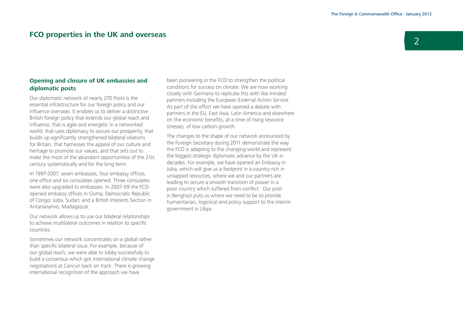### **FCO properties in the UK and overseas** and the set of the set of the set of the set of the set of the set of the set of the set of the set of the set of the set of the set of the set of the set of the set of the set of th

### **Opening and closure of UK embassies and diplomatic posts**

Our diplomatic network of nearly 270 Posts is the essential infrastructure for our foreign policy and our influence overseas. It enables us to deliver a distinctive British foreign policy that extends our global reach and influence, that is agile and energetic in a networked world, that uses diplomacy to secure our prosperity, that builds up significantly strengthened bilateral relations for Britain, that harnesses the appeal of our culture and heritage to promote our values, and that sets out to make the most of the abundant opportunities of the 21st century systematically and for the long-term.

In 1997-2007, seven embassies, four embassy offices, one office and six consulates opened. Three consulates were also upgraded to embassies. In 2007-09 the FCO opened embassy offices in Goma, Democratic Republic of Congo; Juba, Sudan; and a British Interests Section in Antananarivo, Madagascar.

Our network allows us to use our bilateral relationships to achieve multilateral outcomes in relation to specific countries.

Sometimes our network concentrates on a global rather than specific bilateral issue. For example, because of our global reach, we were able to lobby successfully to build a consensus which got international climate change negotiations at Cancun back on track. There is growing international recognition of the approach we have

been pioneering in the FCO to strengthen the political conditions for success on climate. We are now working closely with Germany to replicate this with like minded partners including the European External Action Service. As part of this effort we have opened a debate with partners in the EU, East Asia, Latin America and elsewhere on the economic benefits, at a time of rising resource stresses, of low carbon growth.

The changes to the shape of our network announced by the Foreign Secretary during 2011 demonstrate the way the FCO is adapting to the changing world and represent the biggest strategic diplomatic advance by the UK in decades. For example, we have opened an Embassy in Juba, which will give us a footprint in a country rich in untapped resources, where we and our partners are leading to secure a smooth transition of power in a poor country which suffered from conflict. Our post in Benghazi puts us where we need to be to provide humanitarian, logistical and policy support to the interim government in Libya.

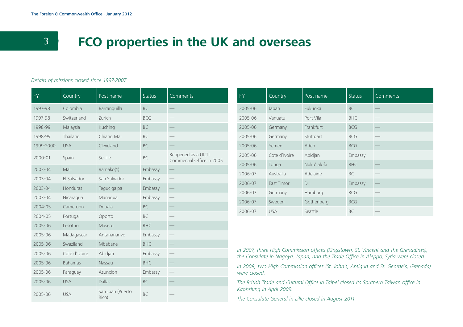

#### *Details of missions closed since 1997-2007*

| <b>FY</b> | Country        | Post name                 | <b>Status</b> | Comments                                        |
|-----------|----------------|---------------------------|---------------|-------------------------------------------------|
| 1997-98   | Colombia       | Barranquilla              | <b>BC</b>     |                                                 |
| 1997-98   | Switzerland    | Zurich                    | <b>BCG</b>    |                                                 |
| 1998-99   | Malaysia       | Kuching                   | <b>BC</b>     |                                                 |
| 1998-99   | Thailand       | Chiang Mai                | <b>BC</b>     |                                                 |
| 1999-2000 | <b>USA</b>     | Cleveland                 | <b>BC</b>     |                                                 |
| 2000-01   | Spain          | Seville                   | <b>BC</b>     | Reopened as a UKTI<br>Commercial Office in 2005 |
| 2003-04   | Mali           | Bamako(1)                 | Embassy       |                                                 |
| 2003-04   | El Salvador    | San Salvador              | Embassy       |                                                 |
| 2003-04   | Honduras       | Tegucigalpa               | Embassy       |                                                 |
| 2003-04   | Nicaragua      | Managua                   | Embassy       |                                                 |
| 2004-05   | Cameroon       | Douala                    | <b>BC</b>     |                                                 |
| 2004-05   | Portugal       | Oporto                    | <b>BC</b>     |                                                 |
| 2005-06   | Lesotho        | Maseru                    | <b>BHC</b>    |                                                 |
| 2005-06   | Madagascar     | Antananarivo              | Embassy       |                                                 |
| 2005-06   | Swaziland      | Mbabane                   | <b>BHC</b>    |                                                 |
| 2005-06   | Cote d'Ivoire  | Abidjan                   | Embassy       |                                                 |
| 2005-06   | <b>Bahamas</b> | Nassau                    | <b>BHC</b>    |                                                 |
| 2005-06   | Paraguay       | Asuncion                  | Embassy       |                                                 |
| 2005-06   | <b>USA</b>     | <b>Dallas</b>             | <b>BC</b>     |                                                 |
| 2005-06   | <b>USA</b>     | San Juan (Puerto<br>Rico) | <b>BC</b>     |                                                 |

| <b>FY</b> | Country       | Post name   | <b>Status</b> | Comments |
|-----------|---------------|-------------|---------------|----------|
| 2005-06   | Japan         | Fukuoka     | BC.           |          |
| 2005-06   | Vanuatu       | Port Vila   | <b>BHC</b>    |          |
| 2005-06   | Germany       | Frankfurt   | <b>BCG</b>    |          |
| 2005-06   | Germany       | Stuttgart   | <b>BCG</b>    |          |
| 2005-06   | Yemen         | Aden        | <b>BCG</b>    |          |
| 2005-06   | Cote d'Ivoire | Abidjan     | Embassy       |          |
| 2005-06   | Tonga         | Nuku' alofa | <b>BHC</b>    |          |
| 2006-07   | Australia     | Adelaide    | <b>BC</b>     |          |
| 2006-07   | East Timor    | <b>Dili</b> | Embassy       |          |
| 2006-07   | Germany       | Hamburg     | <b>BCG</b>    |          |
| 2006-07   | Sweden        | Gothenberg  | <b>BCG</b>    |          |
| 2006-07   | <b>USA</b>    | Seattle     | <b>BC</b>     |          |

*In 2007, three High Commission offices (Kingstown, St. Vincent and the Grenadines), the Consulate in Nagoya, Japan, and the Trade Office in Aleppo, Syria were closed.*

*In 2008, two High Commission offices (St. John's, Antigua and St. George's, Grenada) were closed.* 

*The British Trade and Cultural Office in Taipei closed its Southern Taiwan office in Kaohsiung in April 2009.*

*The Consulate General in Lille closed in August 2011.*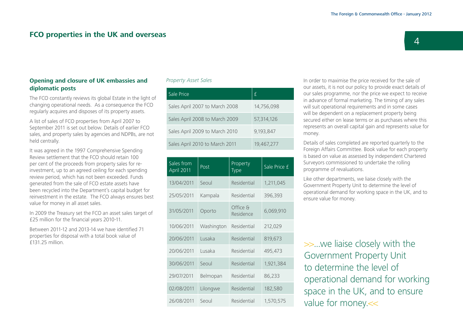

### **Opening and closure of UK embassies and diplomatic posts**

The FCO constantly reviews its global Estate in the light of changing operational needs. As a consequence the FCO regularly acquires and disposes of its property assets.

A list of sales of FCO properties from April 2007 to September 2011 is set out below. Details of earlier FCO sales, and property sales by agencies and NDPBs, are not held centrally.

It was agreed in the 1997 Comprehensive Spending Review settlement that the FCO should retain 100 per cent of the proceeds from property sales for reinvestment, up to an agreed ceiling for each spending review period, which has not been exceeded. Funds generated from the sale of FCO estate assets have been recycled into the Department's capital budget for reinvestment in the estate. The FCO always ensures best value for money in all asset sales.

In 2009 the Treasury set the FCO an asset sales target of £25 million for the financial years 2010-11.

Between 2011-12 and 2013-14 we have identified 71 properties for disposal with a total book value of £131.25 million.

#### *Property Asset Sales*

| Sale Price                     | £          |
|--------------------------------|------------|
| Sales April 2007 to March 2008 | 14,756,098 |
| Sales April 2008 to March 2009 | 57,314,126 |
| Sales April 2009 to March 2010 | 9,193,847  |
| Sales April 2010 to March 2011 | 19,467,277 |

| Sales from<br>April 2011 | Post       | Property<br>Type      | Sale Price £ |
|--------------------------|------------|-----------------------|--------------|
| 13/04/2011               | Seoul      | Residential           | 1,211,045    |
| 25/05/2011               | Kampala    | Residential           | 396,393      |
| 31/05/2011               | Oporto     | Office &<br>Residence | 6,069,910    |
| 10/06/2011               | Washington | Residential           | 212,029      |
| 20/06/2011               | Lusaka     | Residential           | 819,673      |
| 20/06/2011               | Lusaka     | Residential           | 495,473      |
| 30/06/2011               | Seoul      | Residential           | 1,921,384    |
| 29/07/2011               | Belmopan   | Residential           | 86,233       |
| 02/08/2011               | Lilongwe   | Residential           | 182,580      |
| 26/08/2011               | Seoul      | Residential           | 1,570,575    |

In order to maximise the price received for the sale of our assets, it is not our policy to provide exact details of our sales programme, nor the price we expect to receive in advance of formal marketing. The timing of any sales will suit operational requirements and in some cases will be dependent on a replacement property being secured either on lease terms or as purchases where this represents an overall capital gain and represents value for money.

Details of sales completed are reported quarterly to the Foreign Affairs Committee. Book value for each property is based on value as assessed by independent Chartered Surveyors commissioned to undertake the rolling programme of revaluations.

Like other departments, we liaise closely with the Government Property Unit to determine the level of operational demand for working space in the UK, and to ensure value for money.

>>...we liaise closely with the Government Property Unit to determine the level of operational demand for working space in the UK, and to ensure value for money.<<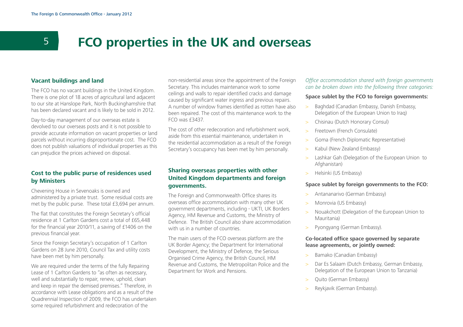### **Vacant buildings and land**

The FCO has no vacant buildings in the United Kingdom. There is one plot of 18 acres of agricultural land adjacent to our site at Hanslope Park, North Buckinghamshire that has been declared vacant and is likely to be sold in 2012.

Day-to-day management of our overseas estate is devolved to our overseas posts and it is not possible to provide accurate information on vacant properties or land parcels without incurring disproportionate cost. The FCO does not publish valuations of individual properties as this can prejudice the prices achieved on disposal.

### **Cost to the public purse of residences used by Ministers**

Chevening House in Sevenoaks is owned and administered by a private trust. Some residual costs are met by the public purse. These total £3,694 per annum.

The flat that constitutes the Foreign Secretary's official residence at 1 Carlton Gardens cost a total of £65,448 for the financial year 2010/11, a saving of £1406 on the previous financial year.

Since the Foreign Secretary's occupation of 1 Carlton Gardens on 28 June 2010, Council Tax and utility costs have been met by him personally.

We are required under the terms of the fully Repairing Lease of 1 Carlton Gardens to "as often as necessary, well and substantially to repair, renew, uphold, clean and keep in repair the demised premises." Therefore, in accordance with Lease obligations and as a result of the Quadrennial Inspection of 2009, the FCO has undertaken some required refurbishment and redecoration of the

non-residential areas since the appointment of the Foreign Secretary. This includes maintenance work to some ceilings and walls to repair identified cracks and damage caused by significant water ingress and previous repairs. A number of window frames identified as rotten have also been repaired. The cost of this maintenance work to the FCO was £3437.

The cost of other redecoration and refurbishment work, aside from this essential maintenance, undertaken in the residential accommodation as a result of the Foreign Secretary's occupancy has been met by him personally.

### **Sharing overseas properties with other United Kingdom departments and foreign governments.**

The Foreign and Commonwealth Office shares its overseas office accommodation with many other UK government departments, including - UKTI, UK Borders Agency, HM Revenue and Customs, the Ministry of Defence. The British Council also share accommodation with us in a number of countries.

The main users of the FCO overseas platform are the UK Border Agency; the Department for International Development, the Ministry of Defence, the Serious Organised Crime Agency, the British Council, HM Revenue and Customs, the Metropolitan Police and the Department for Work and Pensions.

### *Office accommodation shared with foreign governments can be broken down into the following three categories:*

#### **Space sublet by the FCO to foreign governments:**

- > Baghdad (Canadian Embassy, Danish Embassy, Delegation of the European Union to Iraq)
- > Chisinau (Dutch Honorary Consul)
- > Freetown (French Consulate)
- > Goma (French Diplomatic Representative)
- > Kabul (New Zealand Embassy)
- > Lashkar Gah (Delegation of the European Union to Afghanistan)
- > Helsinki (US Embassy)

### **Space sublet by foreign governments to the FCO:**

- > Antananarivo (German Embassy)
- > Monrovia (US Embassy)
- > Nouakchott (Delegation of the European Union to Mauritania)
- > Pyongyang (German Embassy).

### **Co-located office space governed by separate lease agreements, or jointly owned:**

- > Bamako (Canadian Embassy)
- > Dar Es Salaam (Dutch Embassy, German Embassy, Delegation of the European Union to Tanzania)
- > Quito (German Embassy)
- Reykjavik (German Embassy).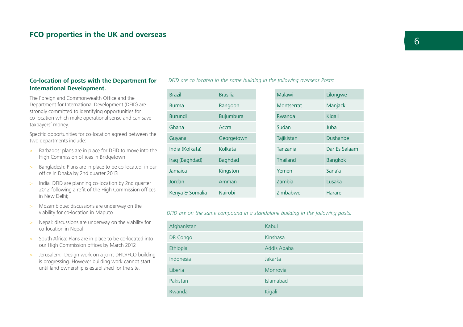### **Co-location of posts with the Department for International Development.**

The Foreign and Commonwealth Office and the Department for International Development (DFID) are strongly committed to identifying opportunities for co-location which make operational sense and can save taxpayers' money.

Specific opportunities for co-location agreed between the two departments include:

- > Barbados: plans are in place for DFID to move into the High Commission offices in Bridgetown
- > Bangladesh: Plans are in place to be co-located in our office in Dhaka by 2nd quarter 2013
- > India: DFID are planning co-location by 2nd quarter 2012 following a refit of the High Commission offices in New Delhi;
- > Mozambique: discussions are underway on the viability for co-location in Maputo
- > Nepal: discussions are underway on the viability for co-location in Nepal
- > South Africa: Plans are in place to be co-located into our High Commission offices by March 2012
- > Jerusalem:. Design work on a joint DFID/FCO building is progressing. However building work cannot start until land ownership is established for the site.

 *DFID are co located in the same building in the following overseas Posts:*

| <b>Brazil</b>   | <b>Brasilia</b>  | Malawi          | Lilongwe        |
|-----------------|------------------|-----------------|-----------------|
| <b>Burma</b>    | Rangoon          | Montserrat      | Manjack         |
| <b>Burundi</b>  | <b>Bujumbura</b> | Rwanda          | Kigali          |
| Ghana           | Accra            | Sudan           | Juba            |
| Guyana          | Georgetown       | Tajikistan      | <b>Dushanbe</b> |
| India (Kolkata) | Kolkata          | Tanzania        | Dar Es Salaam   |
| Iraq (Baghdad)  | <b>Baghdad</b>   | Thailand        | <b>Bangkok</b>  |
| Jamaica         | Kingston         | Yemen           | Sana'a          |
| Jordan          | Amman            | <b>Zambia</b>   | Lusaka          |
| Kenya & Somalia | Nairobi          | <b>Zimbabwe</b> | Harare          |

*DFID are on the same compound in a standalone building in the following posts:*

| Afghanistan | Kabul              |
|-------------|--------------------|
| DR Congo    | Kinshasa           |
| Ethiopia    | <b>Addis Ababa</b> |
| Indonesia   | Jakarta            |
| Liberia     | Monrovia           |
| Pakistan    | Islamabad          |
| Rwanda      | Kigali             |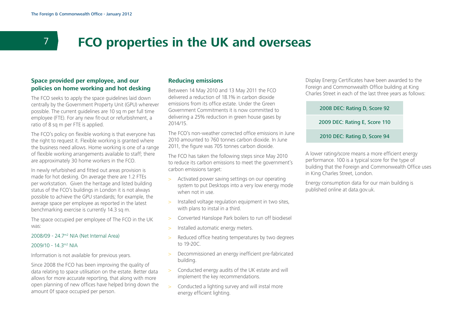### **Space provided per employee, and our policies on home working and hot desking**

The FCO seeks to apply the space guidelines laid down centrally by the Government Property Unit (GPU) wherever possible. The current guidelines are 10 sq m per full time employee (FTE). For any new fit-out or refurbishment, a ratio of 8 sq m per FTE is applied.

The FCO's policy on flexible working is that everyone has the right to request it. Flexible working is granted where the business need allows. Home working is one of a range of flexible working arrangements available to staff; there are approximately 30 home workers in the FCO.

In newly refurbished and fitted out areas provision is made for hot desking. On average there are 1.2 FTEs per workstation. Given the heritage and listed building status of the FCO's buildings in London it is not always possible to achieve the GPU standards; for example, the average space per employee as reported in the latest benchmarking exercise is currently 14.3 sq m.

The space occupied per employee of The FCO in the UK was:

### 2008/09 - 24.7m2 NIA (Net Internal Area)

#### 2009/10 - 14.3m2 NIA

Information is not available for previous years.

Since 2008 the FCO has been improving the quality of data relating to space utilisation on the estate. Better data allows for more accurate reporting, that along with more open planning of new offices have helped bring down the amount 0f space occupied per person.

### **Reducing emissions**

Between 14 May 2010 and 13 May 2011 the FCO delivered a reduction of 18.1% in carbon dioxide emissions from its office estate. Under the Green Government Commitments it is now committed to delivering a 25% reduction in green house gases by 2014/15.

The FCO's non-weather corrected office emissions in June 2010 amounted to 760 tonnes carbon dioxide. In June 2011, the figure was 705 tonnes carbon dioxide.

The FCO has taken the following steps since May 2010 to reduce its carbon emissions to meet the government's carbon emissions target:

- Activated power saving settings on our operating system to put Desktops into a very low energy mode when not in use.
- > Installed voltage regulation equipment in two sites, with plans to instal in a third.
- Converted Hanslope Park boilers to run off biodiesel
- > Installed automatic energy meters.
- Reduced office heating temperatures by two degrees to 19-20C.
- > Decommissioned an energy inefficient pre-fabricated building.
- Conducted energy audits of the UK estate and will implement the key recommendations.
- > Conducted a lighting survey and will instal more energy efficient lighting.

Display Energy Certificates have been awarded to the Foreign and Commonwealth Office building at King Charles Street in each of the last three years as follows:

2008 DEC: Rating D, Score 92

2009 DEC: Rating E, Score 110

2010 DEC: Rating D, Score 94

A lower rating/score means a more efficient energy performance. 100 is a typical score for the type of building that the Foreign and Commonwealth Office uses in King Charles Street, London.

Energy consumption data for our main building is published online at data.gov.uk.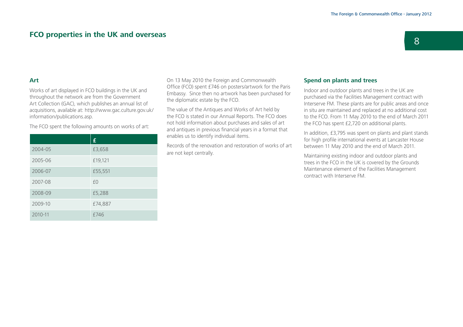

### **Art**

Works of art displayed in FCO buildings in the UK and throughout the network are from the Government Art Collection (GAC), which publishes an annual list of acquisitions, available at: http://www.gac.culture.gov.uk/ information/publications.asp.

The FCO spent the following amounts on works of art:

|         | £       |
|---------|---------|
| 2004-05 | £3,658  |
| 2005-06 | £19,121 |
| 2006-07 | £55,551 |
| 2007-08 | £0      |
| 2008-09 | £5,288  |
| 2009-10 | £74,887 |
| 2010-11 | £746    |

On 13 May 2010 the Foreign and Commonwealth Office (FCO) spent £746 on posters/artwork for the Paris Embassy. Since then no artwork has been purchased for the diplomatic estate by the FCO.

The value of the Antiques and Works of Art held by the FCO is stated in our Annual Reports. The FCO does not hold information about purchases and sales of art and antiques in previous financial years in a format that enables us to identify individual items.

Records of the renovation and restoration of works of art are not kept centrally.

### **Spend on plants and trees**

Indoor and outdoor plants and trees in the UK are purchased via the Facilities Management contract with Interserve FM. These plants are for public areas and once in situ are maintained and replaced at no additional cost to the FCO. From 11 May 2010 to the end of March 2011 the FCO has spent £2,720 on additional plants.

In addition, £3,795 was spent on plants and plant stands for high profile international events at Lancaster House between 11 May 2010 and the end of March 2011.

Maintaining existing indoor and outdoor plants and trees in the FCO in the UK is covered by the Grounds Maintenance element of the Facilities Management contract with Interserve FM.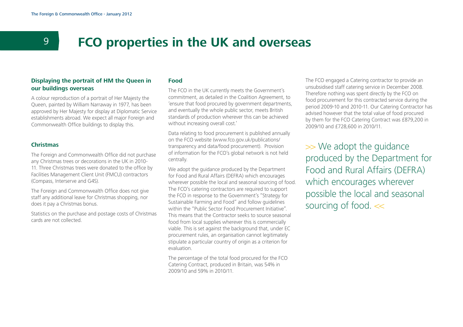### **Displaying the portrait of HM the Queen in our buildings overseas**

A colour reproduction of a portrait of Her Majesty the Queen, painted by William Narraway in 1977, has been approved by Her Majesty for display at Diplomatic Service establishments abroad. We expect all major Foreign and Commonwealth Office buildings to display this.

### **Christmas**

The Foreign and Commonwealth Office did not purchase any Christmas trees or decorations in the UK in 2010- 11. Three Christmas trees were donated to the office by Facilities Management Client Unit (FMCU) contractors (Compass, Interserve and G4S).

The Foreign and Commonwealth Office does not give staff any additional leave for Christmas shopping, nor does it pay a Christmas bonus.

Statistics on the purchase and postage costs of Christmas cards are not collected.

### **Food**

The FCO in the UK currently meets the Government's commitment, as detailed in the Coalition Agreement, to 'ensure that food procured by government departments, and eventually the whole public sector, meets British standards of production wherever this can be achieved without increasing overall cost.'

Data relating to food procurement is published annually on the FCO website (www.fco.gov.uk/publications/ transparency and data/food procurement). Provision of information for the FCO's global network is not held centrally.

We adopt the guidance produced by the Department for Food and Rural Affairs (DEFRA) which encourages wherever possible the local and seasonal sourcing of food. The FCO's catering contractors are required to support the FCO in response to the Government's "Strategy for Sustainable Farming and Food" and follow guidelines within the "Public Sector Food Procurement Initiative". This means that the Contractor seeks to source seasonal food from local supplies wherever this is commercially viable. This is set against the background that, under EC procurement rules, an organisation cannot legitimately stipulate a particular country of origin as a criterion for evaluation.

The percentage of the total food procured for the FCO Catering Contract, produced in Britain, was 54% in 2009/10 and 59% in 2010/11.

The FCO engaged a Catering contractor to provide an unsubsidised staff catering service in December 2008. Therefore nothing was spent directly by the FCO on food procurement for this contracted service during the period 2009-10 and 2010-11. Our Catering Contractor has advised however that the total value of food procured by them for the FCO Catering Contract was £879,200 in 2009/10 and £728,600 in 2010/11.

>> We adopt the guidance produced by the Department for Food and Rural Affairs (DEFRA) which encourages wherever possible the local and seasonal sourcing of food. <<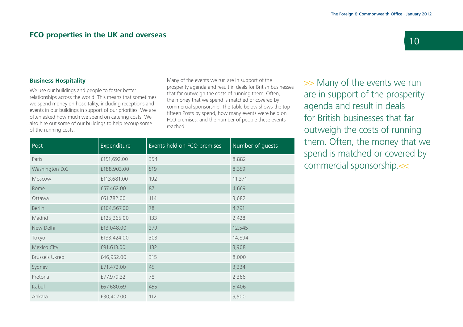### **FCO properties in the UK and overseas** and the UK and  $\frac{10}{10}$

### **Business Hospitality**

We use our buildings and people to foster better relationships across the world. This means that sometimes we spend money on hospitality, including receptions and events in our buildings in support of our priorities. We are often asked how much we spend on catering costs. We also hire out some of our buildings to help recoup some of the running costs.

Many of the events we run are in support of the prosperity agenda and result in deals for British businesses that far outweigh the costs of running them. Often, the money that we spend is matched or covered by commercial sponsorship. The table below shows the top fifteen Posts by spend, how many events were held on FCO premises, and the number of people these events reached.

>> Many of the events we run are in support of the prosperity agenda and result in deals for British businesses that far outweigh the costs of running them. Often, the money that we spend is matched or covered by

commercial sponsorship.<<

| Post                  | Expenditure | Events held on FCO premises | Number of quests |
|-----------------------|-------------|-----------------------------|------------------|
| Paris                 | £151,692.00 | 354                         | 8,882            |
| Washington D.C        | £188,903.00 | 519                         | 8,359            |
| Moscow                | £113,681.00 | 192                         | 11,371           |
| Rome                  | £57,462.00  | 87                          | 4,669            |
| Ottawa                | £61,782.00  | 114                         | 3,682            |
| <b>Berlin</b>         | £104,567.00 | 78                          | 4,791            |
| Madrid                | £125,365.00 | 133                         | 2,428            |
| New Delhi             | £13,048.00  | 279                         | 12,545           |
| Tokyo                 | £133,424.00 | 303                         | 14,894           |
| Mexico City           | £91,613.00  | 132                         | 3,908            |
| <b>Brussels Ukrep</b> | £46,952.00  | 315                         | 8,000            |
| Sydney                | £71,472.00  | 45                          | 3,334            |
| Pretoria              | £77,979.32  | 78                          | 2,366            |
| Kabul                 | £67,680.69  | 455                         | 5,406            |
| Ankara                | £30,407.00  | 112                         | 9,500            |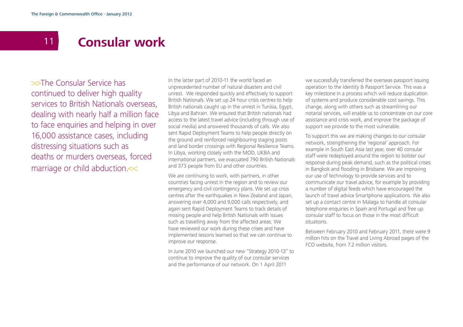### **Consular work**

>>The Consular Service has continued to deliver high quality services to British Nationals overseas, dealing with nearly half a million face to face enquiries and helping in over 16,000 assistance cases, including distressing situations such as deaths or murders overseas, forced marriage or child abduction.<<

In the latter part of 2010-11 the world faced an unprecedented number of natural disasters and civil unrest. We responded quickly and effectively to support British Nationals. We set up 24 hour crisis centres to help British nationals caught up in the unrest in Tunisia, Egypt, Libya and Bahrain. We ensured that British nationals had access to the latest travel advice (including through use of social media) and answered thousands of calls. We also sent Rapid Deployment Teams to help people directly on the ground and reinforced neighbouring staging posts and land border crossings with Regional Resilience Teams. In Libya, working closely with the MOD, UKBA and international partners, we evacuated 790 British Nationals and 373 people from EU and other countries.

We are continuing to work, with partners, in other countries facing unrest in the region and to review our emergency and civil contingency plans. We set up crisis centres after the earthquakes in New Zealand and Japan, answering over 4,000 and 9,000 calls respectively, and again sent Rapid Deployment Teams to track details of missing people and help British Nationals with issues such as travelling away from the affected areas. We have reviewed our work during these crises and have implemented lessons learned so that we can continue to improve our response.

In June 2010 we launched our new "Strategy 2010-13" to continue to improve the quality of our consular services and the performance of our network. On 1 April 2011

we successfully transferred the overseas passport issuing operation to the Identity & Passport Service. This was a key milestone in a process which will reduce duplication of systems and produce considerable cost savings. This change, along with others such as streamlining our notarial services, will enable us to concentrate on our core assistance and crisis work, and improve the package of support we provide to the most vulnerable.

To support this we are making changes to our consular network, strengthening the 'regional' approach. For example in South East Asia last year, over 40 consular staff were redeployed around the region to bolster our response during peak demand, such as the political crises in Bangkok and flooding in Brisbane. We are improving our use of technology to provide services and to communicate our travel advice, for example by providing a number of digital feeds which have encouraged the launch of travel advice Smartphone applications. We also set up a contact centre in Malaga to handle all consular telephone enquiries in Spain and Portugal and free up consular staff to focus on those in the most difficult situations.

Between February 2010 and February 2011, there were 9 million hits on the Travel and Living Abroad pages of the FCO website, from 7.2 million visitors.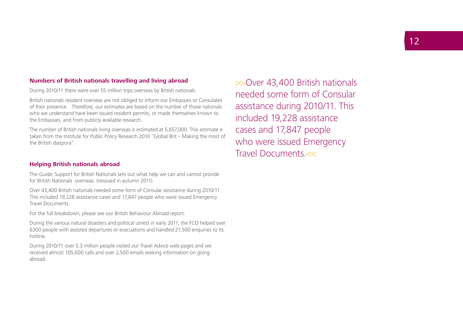### **Numbers of British nationals travelling and living abroad**

During 2010/11 there were over 55 million trips overseas by British nationals.

British nationals resident overseas are not obliged to inform our Embassies or Consulates of their presence. Therefore, our estimates are based on the number of those nationals who we understand have been issued resident permits, or made themselves known to the Embassies, and from publicly available research.

The number of British nationals living overseas is estimated at 5,657,000. This estimate is taken from the Institute for Public Policy Research 2010 "Global Brit – Making the most of the British diaspora".

#### **Helping British nationals abroad**

The Guide: Support for British Nationals sets out what help we can and cannot provide for British Nationals overseas. (reissued in autumn 2011).

Over 43,400 British nationals needed some form of Consular assistance during 2010/11. This included 19,228 assistance cases and 17,847 people who were issued Emergency Travel Documents.

For the full breakdown, please see our British Behaviour Abroad report.

During the various natural disasters and political unrest in early 2011, the FCO helped over 6300 people with assisted departures or evacuations and handled 21,500 enquiries to its hotline.

During 2010/11 over 5.3 million people visited our Travel Advice web pages and we received almost 105,000 calls and over 2,500 emails seeking information on going abroad.

>>Over 43,400 British nationals needed some form of Consular assistance during 2010/11. This included 19,228 assistance cases and 17,847 people who were issued Emergency Travel Documents.<<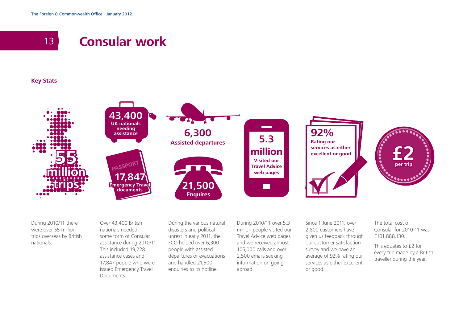



During 2010/11 there were over 55 million trips overseas by British nationals.

Over 43,400 British nationals needed some form of Consular assistance during 2010/11. This included 19,228 assistance cases and 17,847 people who were issued Emergency Travel Documents.

During the various natural disasters and political unrest in early 2011, the FCO helped over 6,300 people with assisted departures or evacuations and handled 21,500 enquiries to its hotline.

During 2010/11 over 5.3 million people visited our Travel Advice web pages and we received almost 105,000 calls and over 2,500 emails seeking information on going abroad.

Since 1 June 2011, over 2,800 customers have given us feedback through our customer satisfaction survey and we have an average of 92% rating our services as either excellent or good.

The total cost of Consular for 2010-11 was £101,888,130.

This equates to £2 for every trip made by a British traveller during the year.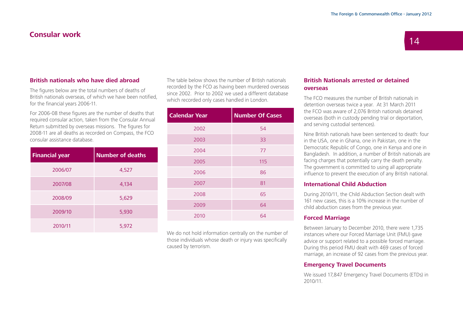### 14

### **British nationals who have died abroad**

The figures below are the total numbers of deaths of British nationals overseas, of which we have been notified, for the financial years 2006-11.

For 2006-08 these figures are the number of deaths that required consular action, taken from the Consular Annual Return submitted by overseas missions. The figures for 2008-11 are all deaths as recorded on Compass, the FCO consular assistance database.

| <b>Financial year</b> | <b>Number of deaths</b> |
|-----------------------|-------------------------|
| 2006/07               | 4,527                   |
| 2007/08               | 4,134                   |
| 2008/09               | 5,629                   |
| 2009/10               | 5,930                   |
| 2010/11               | 5,972                   |

The table below shows the number of British nationals recorded by the FCO as having been murdered overseas since 2002. Prior to 2002 we used a different database which recorded only cases handled in London.

| <b>Calendar Year</b> | <b>Number Of Cases</b> |
|----------------------|------------------------|
| 2002                 | 54                     |
| 2003                 | 33                     |
| 2004                 | 77                     |
| 2005                 | 115                    |
| 2006                 | 86                     |
| 2007                 | 81                     |
| 2008                 | 65                     |
| 2009                 | 64                     |
| 2010                 | 64                     |

We do not hold information centrally on the number of those individuals whose death or injury was specifically caused by terrorism.

### **British Nationals arrested or detained overseas**

The FCO measures the number of British nationals in detention overseas twice a year. At 31 March 2011 the FCO was aware of 2,076 British nationals detained overseas (both in custody pending trial or deportation, and serving custodial sentences).

Nine British nationals have been sentenced to death: four in the USA, one in Ghana, one in Pakistan, one in the Democratic Republic of Congo, one in Kenya and one in Bangladesh. In addition, a number of British nationals are facing charges that potentially carry the death penalty. The government is committed to using all appropriate influence to prevent the execution of any British national.

#### **International Child Abduction**

During 2010/11, the Child Abduction Section dealt with 161 new cases, this is a 10% increase in the number of child abduction cases from the previous year.

### **Forced Marriage**

Between January to December 2010, there were 1,735 instances where our Forced Marriage Unit (FMU) gave advice or support related to a possible forced marriage. During this period FMU dealt with 469 cases of forced marriage, an increase of 92 cases from the previous year.

### **Emergency Travel Documents**

We issued 17,847 Emergency Travel Documents (ETDs) in 2010/11.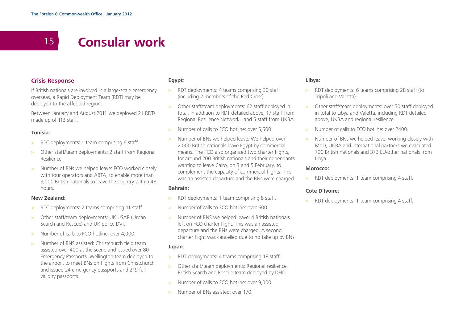### **Crisis Response**

15

If British nationals are involved in a large-scale emergency overseas, a Rapid Deployment Team (RDT) may be deployed to the affected region.

Between January and August 2011 we deployed 21 RDTs made up of 113 staff.

### **Tunisia:**

- > RDT deployments: 1 team comprising 6 staff.
- Other staff/team deployments: 2 staff from Regional Resilience
- > Number of BNs we helped leave: FCO worked closely with tour operators and ABTA, to enable more than 3,000 British nationals to leave the country within 48 hours.

### **New Zealand:**

- > RDT deployments: 2 teams comprising 11 staff.
- > Other staff/team deployments: UK USAR (Urban Search and Rescue) and UK police DVI.
- Number of calls to FCO hotline: over 4,000.
- Number of BNS assisted: Christchurch field team assisted over 400 at the scene and issued over 80 Emergency Passports. Wellington team deployed to the airport to meet BNs on flights from Christchurch and issued 24 emergency passports and 219 full validity passports.

### **Egypt**:

- > RDT deployments: 4 teams comprising 30 staff (including 2 members of the Red Cross).
- > Other staff/team deployments: 62 staff deployed in total. In addition to RDT detailed above, 17 staff from Regional Resilience Network, and 5 staff from UKBA.
- > Number of calls to FCO hotline: over 5,500.
- Number of BNs we helped leave: We helped over 2,000 British nationals leave Egypt by commercial means. The FCO also organised two charter flights, for around 200 British nationals and their dependants wanting to leave Cairo, on 3 and 5 February, to complement the capacity of commercial flights. This was an assisted departure and the BNs were charged.

### **Bahrain:**

- > RDT deployments: 1 team comprising 8 staff.
- Number of calls to FCO hotline: over 600.
- > Number of BNS we helped leave: 4 British nationals left on FCO charter flight. This was an assisted departure and the BNs were charged. A second charter flight was cancelled due to no take up by BNs.

### **Japan:**

- > RDT deployments: 4 teams comprising 18 staff.
- > Other staff/team deployments: Regional resilience, British Search and Rescue team deployed by DFID
- > Number of calls to FCO hotline: over 9,000.
- > Number of BNs assisted: over 170.

### **Libya:**

- > RDT deployments: 6 teams comprising 28 staff (to Tripoli and Valetta).
- > Other staff/team deployments: over 50 staff deployed in total to Libya and Valetta, including RDT detailed above, UKBA and regional resilience.
- > Number of calls to FCO hotline: over 2400.
- > Number of BNs we helped leave: working closely with MoD, UKBA and international partners we evacuated 790 British nationals and 373 EU/other nationals from Libya.

### **Morocco:**

> RDT deployments: 1 team comprising 4 staff.

### **Cote D'Ivoire:**

RDT deployments: 1 team comprising 4 staff.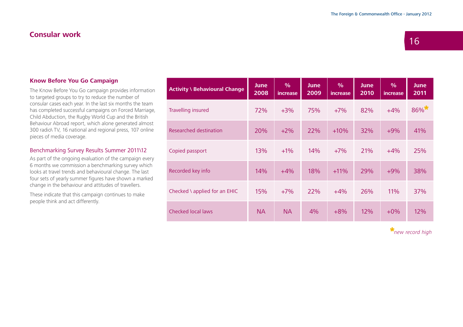### **Know Before You Go Campaign**

The Know Before You Go campaign provides information to targeted groups to try to reduce the number of consular cases each year. In the last six months the team has completed successful campaigns on Forced Marriage, Child Abduction, the Rugby World Cup and the British Behaviour Abroad report, which alone generated almost 300 radio\ TV, 16 national and regional press, 107 online pieces of media coverage.

### Benchmarking Survey Results Summer 2011\12

As part of the ongoing evaluation of the campaign every 6 months we commission a benchmarking survey which looks at travel trends and behavioural change. The last four sets of yearly summer figures have shown a marked change in the behaviour and attitudes of travellers.

These indicate that this campaign continues to make people think and act differently.

| <b>Activity \ Behavioural Change</b> | <b>June</b><br>2008 | $\frac{9}{6}$<br>increase | <b>June</b><br>2009 | $\frac{9}{6}$<br>increase | <b>June</b><br>2010 | $\%$<br>increase | <b>June</b><br>2011 |
|--------------------------------------|---------------------|---------------------------|---------------------|---------------------------|---------------------|------------------|---------------------|
| Travelling insured                   | 72%                 | $+3%$                     | 75%                 | $+7%$                     | 82%                 | $+4%$            | $86\%$              |
| Researched destination               | 20%                 | $+2\%$                    | 22%                 | $+10%$                    | 32%                 | $+9%$            | 41%                 |
| Copied passport                      | 13%                 | $+1\%$                    | 14%                 | $+7%$                     | 21%                 | $+4%$            | 25%                 |
| Recorded key info                    | 14%                 | $+4%$                     | 18%                 | $+11%$                    | 29%                 | $+9%$            | 38%                 |
| Checked \ applied for an EHIC        | 15%                 | $+7%$                     | 22%                 | $+4%$                     | 26%                 | 11%              | 37%                 |
| Checked local laws                   | <b>NA</b>           | <b>NA</b>                 | 4%                  | $+8%$                     | 12%                 | $+0\%$           | 12%                 |

\**new record high*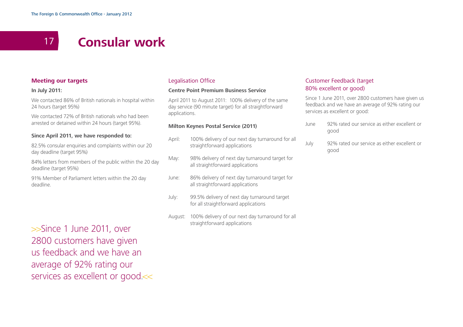### **Consular work**

### **Meeting our targets**

#### **In July 2011:**

We contacted 86% of British nationals in hospital within 24 hours (target 95%)

We contacted 72% of British nationals who had been arrested or detained within 24 hours (target 95%).

### **Since April 2011, we have responded to:**

82.5% consular enquiries and complaints within our 20 day deadline (target 95%)

84% letters from members of the public within the 20 day deadline (target 95%)

91% Member of Parliament letters within the 20 day deadline.

>>Since 1 June 2011, over 2800 customers have given us feedback and we have an average of 92% rating our services as excellent or good.<<

### Legalisation Office

### **Centre Point Premium Business Service**

April 2011 to August 2011: 100% delivery of the same day service (90 minute target) for all straightforward applications.

#### **Milton Keynes Postal Service (2011)**

- April: 100% delivery of our next day turnaround for all straightforward applications
- May: 98% delivery of next day turnaround target for all straightforward applications
- June: 86% delivery of next day turnaround target for all straightforward applications
- July: 99.5% delivery of next day turnaround target for all straightforward applications
- August: 100% delivery of our next day turnaround for all straightforward applications

### Customer Feedback (target 80% excellent or good)

Since 1 June 2011, over 2800 customers have given us feedback and we have an average of 92% rating our services as excellent or good:

- June 92% rated our service as either excellent or good
- July 92% rated our service as either excellent or good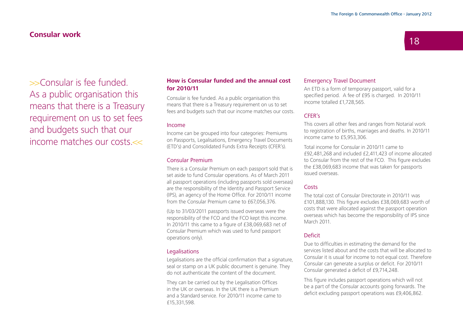### 18

>>Consular is fee funded. As a public organisation this means that there is a Treasury requirement on us to set fees and budgets such that our income matches our costs  $<<$ 

### **How is Consular funded and the annual cost for 2010/11**

Consular is fee funded. As a public organisation this means that there is a Treasury requirement on us to set fees and budgets such that our income matches our costs.

### Income

Income can be grouped into four categories: Premiums on Passports, Legalisations, Emergency Travel Documents (ETD's) and Consolidated Funds Extra Receipts (CFER's).

### Consular Premium

There is a Consular Premium on each passport sold that is set aside to fund Consular operations. As of March 2011 all passport operations (including passports sold overseas) are the responsibility of the Identity and Passport Service (IPS), an agency of the Home Office. For 2010/11 income from the Consular Premium came to £67,056,376.

(Up to 31/03/2011 passports issued overseas were the responsibility of the FCO and the FCO kept this income. In 2010/11 this came to a figure of £38,069,683 net of Consular Premium which was used to fund passport operations only).

### **Legalisations**

Legalisations are the official confirmation that a signature, seal or stamp on a UK public document is genuine. They do not authenticate the content of the document.

They can be carried out by the Legalisation Offices in the UK or overseas. In the UK there is a Premium and a Standard service. For 2010/11 income came to £15,331,598.

### Emergency Travel Document

An ETD is a form of temporary passport, valid for a specified period. A fee of £95 is charged. In 2010/11 income totalled £1,728,565.

### CFER's

This covers all other fees and ranges from Notarial work to registration of births, marriages and deaths. In 2010/11 income came to £5,953,306.

Total income for Consular in 2010/11 came to £92,481,268 and included £2,411,423 of income allocated to Consular from the rest of the FCO. This figure excludes the £38,069,683 income that was taken for passports issued overseas.

### Costs

The total cost of Consular Directorate in 2010/11 was £101,888,130. This figure excludes £38,069,683 worth of costs that were allocated against the passport operation overseas which has become the responsibility of IPS since March 2011.

### Deficit

Due to difficulties in estimating the demand for the services listed about and the costs that will be allocated to Consular it is usual for income to not equal cost. Therefore Consular can generate a surplus or deficit. For 2010/11 Consular generated a deficit of £9,714,248.

This figure includes passport operations which will not be a part of the Consular accounts going forwards. The deficit excluding passport operations was £9,406,862.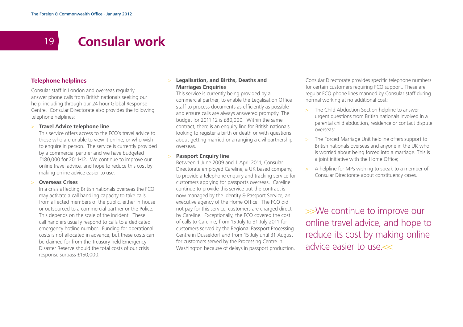### **Telephone helplines**

19

Consular staff in London and overseas regularly answer phone calls from British nationals seeking our help, including through our 24 hour Global Response Centre. Consular Directorate also provides the following telephone helplines:

#### > **Travel Advice telephone line**

This service offers access to the FCO's travel advice to those who are unable to view it online, or who wish to enquire in person. The service is currently provided by a commercial partner and we have budgeted £180,000 for 2011-12. We continue to improve our online travel advice, and hope to reduce this cost by making online advice easier to use.

#### > **Overseas Crises**

In a crisis affecting British nationals overseas the FCO may activate a call handling capacity to take calls from affected members of the public, either in-house or outsourced to a commercial partner or the Police. This depends on the scale of the incident. These call handlers usually respond to calls to a dedicated emergency hotline number. Funding for operational costs is not allocated in advance, but these costs can be claimed for from the Treasury held Emergency Disaster Reserve should the total costs of our crisis response surpass £150,000.

### > **Legalisation, and Births, Deaths and Marriages Enquiries**

This service is currently being provided by a commercial partner, to enable the Legalisation Office staff to process documents as efficiently as possible and ensure calls are always answered promptly. The budget for 2011-12 is £80,000. Within the same contract, there is an enquiry line for British nationals looking to register a birth or death or with questions about getting married or arranging a civil partnership overseas.

#### **Passport Enquiry line**

Between 1 June 2009 and 1 April 2011, Consular Directorate employed Careline, a UK based company, to provide a telephone enquiry and tracking service for customers applying for passports overseas. Careline continue to provide this service but the contract is now managed by the Identity & Passport Service, an executive agency of the Home Office. The FCO did not pay for this service; customers are charged direct by Careline. Exceptionally, the FCO covered the cost of calls to Careline, from 15 July to 31 July 2011 for customers served by the Regional Passport Processing Centre in Dusseldorf and from 15 July until 31 August for customers served by the Processing Centre in Washington because of delays in passport production.

Consular Directorate provides specific telephone numbers for certain customers requiring FCO support. These are regular FCO phone lines manned by Consular staff during normal working at no additional cost:

- > The Child Abduction Section helpline to answer urgent questions from British nationals involved in a parental child abduction, residence or contact dispute overseas;
- The Forced Marriage Unit helpline offers support to British nationals overseas and anyone in the UK who is worried about being forced into a marriage. This is a joint initiative with the Home Office;
- > A helpline for MPs wishing to speak to a member of Consular Directorate about constituency cases.

>>We continue to improve our online travel advice, and hope to reduce its cost by making online advice easier to use  $<<$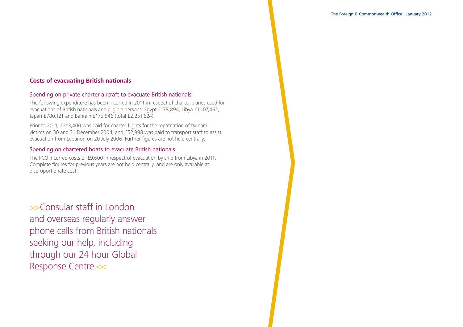### **Costs of evacuating British nationals**

### Spending on private charter aircraft to evacuate British nationals

The following expenditure has been incurred in 2011 in respect of charter planes used for evacuations of British nationals and eligible persons: Egypt £178,894, Libya £1,107,462, Japan £780,121 and Bahrain £175,546 (total £2,251,624).

Prior to 2011, £213,400 was paid for charter flights for the repatriation of tsunami victims on 30 and 31 December 2004, and £52,998 was paid to transport staff to assist evacuation from Lebanon on 20 July 2006. Further figures are not held centrally.

### Spending on chartered boats to evacuate British nationals

The FCO incurred costs of £9,600 in respect of evacuation by ship from Libya in 2011. Complete figures for previous years are not held centrally, and are only available at disproportionate cost.

>>Consular staff in London and overseas regularly answer phone calls from British nationals seeking our help, including through our 24 hour Global Response Centre.<<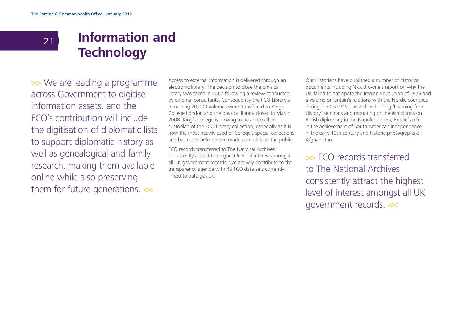# **Information and Technology**

>> We are leading a programme across Government to digitise information assets, and the FCO's contribution will include the digitisation of diplomatic lists to support diplomatic history as well as genealogical and family research, making them available online while also preserving them for future generations.  $\ll$ 

Access to external information is delivered through an electronic library. The decision to close the physical library was taken in 2007 following a review conducted by external consultants. Consequently the FCO Library's remaining 20,000 volumes were transferred to King's College London and the physical library closed in March 2008. King's College is proving to be an excellent custodian of the FCO Library collection, especially as it is now the most heavily used of College's special collections and has never before been made accessible to the public.

FCO records transferred to The National Archives consistently attract the highest level of interest amongst all UK government records. We actively contribute to the transparency agenda with 45 FCO data sets currently linked to data.gov.uk.

Our Historians have published a number of historical documents including Nick Browne's report on why the UK failed to anticipate the Iranian Revolution of 1979 and a volume on Britain's relations with the Nordic countries during the Cold War, as well as holding 'Learning from History' seminars and mounting online exhibitions on British diplomacy in the Napoleonic era, Britain's role in the achievement of South American independence in the early 19th century and historic photographs of Afghanistan.

>> FCO records transferred to The National Archives consistently attract the highest level of interest amongst all UK government records. <<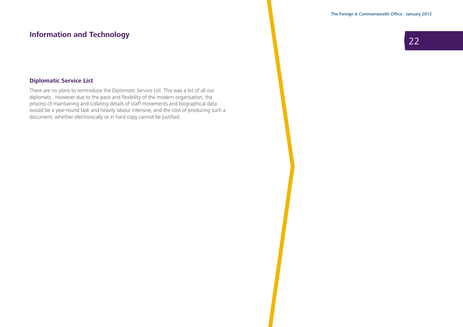The Foreign & Commonwealth Office - January 2012

# **Information and Technology Information and Technology**

### **Diplomatic Service List**

There are no plans to reintroduce the Diplomatic Service List. This was a list of all our diplomats. However due to the pace and flexibility of the modern organisation, the process of maintaining and collating details of staff movements and biographical data would be a year-round task and heavily labour intensive, and the cost of producing such a document, whether electronically or in hard copy cannot be justified.

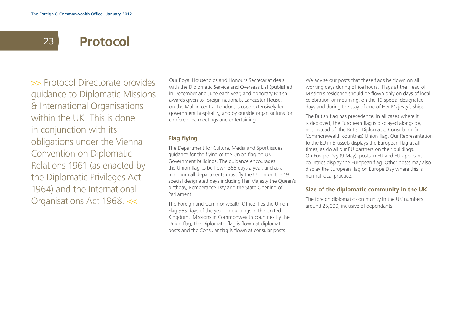>> Protocol Directorate provides guidance to Diplomatic Missions & International Organisations within the UK. This is done in conjunction with its obligations under the Vienna Convention on Diplomatic Relations 1961 (as enacted by the Diplomatic Privileges Act 1964) and the International Organisations Act 1968. <<

Our Royal Households and Honours Secretariat deals with the Diplomatic Service and Overseas List (published in December and June each year) and honorary British awards given to foreign nationals. Lancaster House, on the Mall in central London, is used extensively for government hospitality, and by outside organisations for conferences, meetings and entertaining.

### **Flag flying**

The Department for Culture, Media and Sport issues guidance for the flying of the Union flag on UK Government buildings. The guidance encourages the Union flag to be flown 365 days a year, and as a minimum all departments must fly the Union on the 19 special designated days including Her Majesty the Queen's birthday, Remberance Day and the State Opening of Parliament.

The Foreign and Commonwealth Office flies the Union Flag 365 days of the year on buildings in the United Kingdom. Missions in Commonwealth countries fly the Union flag, the Diplomatic flag is flown at diplomatic posts and the Consular flag is flown at consular posts.

We advise our posts that these flags be flown on all working days during office hours. Flags at the Head of Mission's residence should be flown only on days of local celebration or mourning, on the 19 special designated days and during the stay of one of Her Majesty's ships.

The British flag has precedence. In all cases where it is deployed, the European flag is displayed alongside, not instead of, the British Diplomatic, Consular or (in Commonwealth countries) Union flag. Our Representation to the EU in Brussels displays the European flag at all times, as do all our EU partners on their buildings. On Europe Day (9 May), posts in EU and EU-applicant countries display the European flag. Other posts may also display the European flag on Europe Day where this is normal local practice.

### **Size of the diplomatic community in the UK**

The foreign diplomatic community in the UK numbers around 25,000, inclusive of dependants.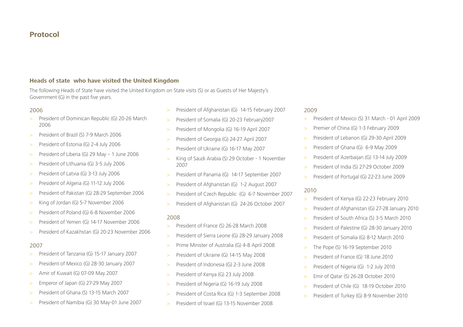### **Heads of state who have visited the United Kingdom**

The following Heads of State have visited the United Kingdom on State visits (S) or as Guests of Her Majesty's Government (G) in the past five years.

### 2006

- President of Dominican Republic (G) 20-26 March 2006
- > President of Brazil (S) 7-9 March 2006
- > President of Estonia (G) 2-4 July 2006
- > President of Liberia (G) 29 May 1 June 2006
- > President of Lithuania (G) 3-5 July 2006
- > President of Latvia (G) 3-13 July 2006
- > President of Algeria (G) 11-12 July 2006
- President of Pakistan (G) 28-29 September 2006
- > King of Jordan (G) 5-7 November 2006
- > President of Poland (G) 6-8 November 2006
- > President of Yemen (G) 14-17 November 2006
- President of Kazakhstan (G) 20-23 November 2006

#### 2007

- > President of Tanzania (G) 15-17 January 2007
- President of Mexico (G) 28-30 January 2007
- > Amir of Kuwait (G) 07-09 May 2007
- > Emperor of Japan (G) 27-29 May 2007
- > President of Ghana (S) 13-15 March 2007
- > President of Namibia (G) 30 May-01 June 2007
- > President of Afghanistan (G) 14-15 February 2007
- > President of Somalia (G) 20-23 February2007
- > President of Mongolia (G) 16-19 April 2007
- > President of Georgia (G) 24-27 April 2007
- President of Ukraine (G) 16-17 May 2007
- > King of Saudi Arabia (S) 29 October 1 November 2007
- > President of Panama (G) 14-17 September 2007
- > President of Afghanistan (G) 1-2 August 2007
- > President of Czech Republic (G) 6-7 November 2007
- > President of Afghanistan (G) 24-26 October 2007

#### 2008

- > President of France (S) 26-28 March 2008
- > President of Sierra Leone (G) 28-29 January 2008
- > Prime Minister of Australia (G) 4-8 April 2008
- > President of Ukraine (G) 14-15 May 2008
- > President of Indonesia (G) 2-3 June 2008
- > President of Kenya (G) 23 July 2008
- > President of Nigeria (G) 16-19 July 2008
- President of Costa Rica (G) 1-3 September 2008
- > President of Israel (G) 13-15 November 2008

#### 2009

- > President of Mexico (S) 31 March 01 April 2009
- > Premier of China (G) 1-3 February 2009
- President of Lebanon (G) 29-30 April 2009
- > President of Ghana (G) 6-9 May 2009
- > President of Azerbaijan (G) 13-14 July 2009
- > President of India (S) 27-29 October 2009
- > President of Portugal (G) 22-23 June 2009

### 2010

- > President of Kenya (G) 22-23 February 2010
- > President of Afghanistan (G) 27-28 January 2010
- > President of South Africa (S) 3-5 March 2010
- > President of Palestine (G) 28-30 January 2010
- > President of Somalia (G) 8-12 March 2010
- > The Pope (S) 16-19 September 2010
- > President of France (G) 18 June 2010
- President of Nigeria (G) 1-2 July 2010
- > Emir of Qatar (S) 26-28 October 2010
- > President of Chile (G) 18-19 October 2010
- > President of Turkey (G) 8-9 November 2010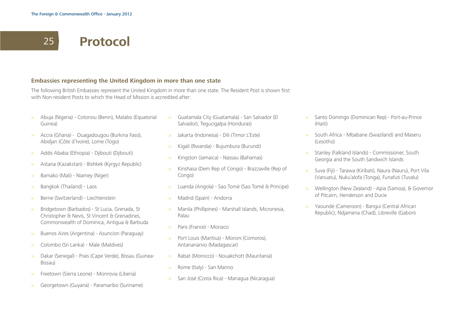### **Embassies representing the United Kingdom in more than one state**

The following British Embassies represent the United Kingdom in more than one state. The Resident Post is shown first with Non-resident Posts to which the Head of Mission is accredited after:

- > Abuja (Nigeria) Cotonou (Benin), Malabo (Equatorial Guinea)
- > Accra (Ghana) Ouagadougou (Burkina Faso), Abidjan (Côte d'Ivoire), Lome (Togo)
- > Addis Ababa (Ethiopia) Djibouti (Djibouti)
- > Astana (Kazakstan) Bishkek (Kyrgyz Republic)
- > Bamako (Mali) Niamey (Niger)
- Bangkok (Thailand) Laos
- Berne (Switzerland) Liechtenstein
- > Bridgetown (Barbados) St Lucia, Grenada, St Christopher & Nevis, St Vincent & Grenadines, Commonwealth of Dominica, Antigua & Barbuda
- Buenos Aires (Argentina) Asuncion (Paraguay)
- > Colombo (Sri Lanka) Male (Maldives)
- > Dakar (Senegal) Prais (Cape Verde), Bissau (Guinea-Bissau)
- > Freetown (Sierra Leone) Monrovia (Liberia)
- > Georgetown (Guyana) Paramaribo (Suriname)
- > Guatamala City (Guatamala) San Salvador (El Salvador), Tegucigalpa (Honduras)
- > Jakarta (Indonesia) Dili (Timor L'Este)
- > Kigali (Rwanda) Bujumbura (Burundi)
- > Kingston (Jamaica) Nassau (Bahamas)
- > Kinshasa (Dem Rep of Congo) Brazzaville (Rep of Congo)
- > Luanda (Angola) Sao Tomé (Sao Tomé & Principe)
- > Madrid (Spain) Andorra
- > Manila (Phillipines) Marshall Islands, Micronesia, Palau
- > Paris (France) Monaco
- > Port Louis (Maritius) Moroni (Comoros), Antananarivo (Madagascar)
- > Rabat (Morocco) Nouakchott (Mauritania)
- > Rome (Italy) San Marino
- > San José (Costa Rica) Managua (Nicaragua)
- > Santo Domingo (Dominican Rep) Port-au-Prince (Haiti)
- > South Africa Mbabane (Swaziland) and Maseru (Lesotho)
- > Stanley (Falkland Islands) Commissioner, South Georgia and the South Sandwich Islands
- > Suva (Fiji) Tarawa (Kiribati), Naura (Nauru), Port Vila (Vanuatu), Nuku'alofa (Tonga), Funafuti (Tuvalu)
- > Wellington (New Zealand) Apia (Samoa), & Governor of Pitcairn, Henderson and Ducie
- > Yaoundé (Cameroon) Bangui (Central African Republic), Ndjamena (Chad), Libreville (Gabon)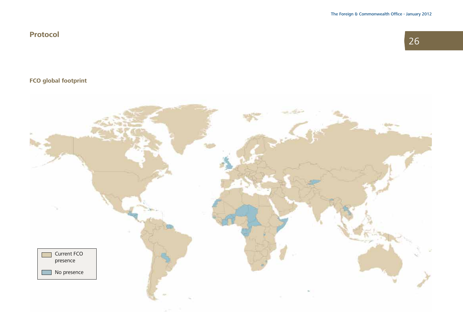26

### **FCO global footprint**

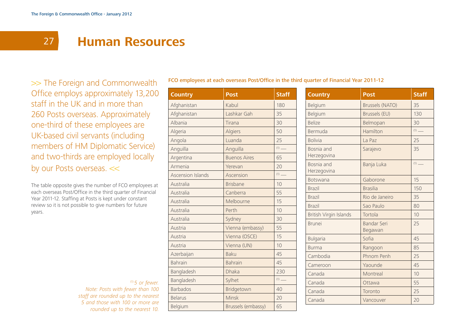### **Human Resources**

>> The Foreign and Commonwealth Office employs approximately 13,200 staff in the UK and in more than 260 Posts overseas. Approximately one-third of these employees are UK-based civil servants (including members of HM Diplomatic Service) and two-thirds are employed locally by our Posts overseas. <<

The table opposite gives the number of FCO employees at each overseas Post/Office in the third quarter of Financial Year 2011-12. Staffing at Posts is kept under constant review so it is not possible to give numbers for future years.

(1) *5 or fewer.* 

*Note: Posts with fewer than 100 staff are rounded up to the nearest 5 and those with 100 or more are rounded up to the nearest 10.*

FCO employees at each overseas Post/Office in the third quarter of Financial Year 2011-12

| <b>Country</b>           | <b>Post</b>         | <b>Staff</b> |
|--------------------------|---------------------|--------------|
| Afghanistan              | Kabul               | 180          |
| Afghanistan              | Lashkar Gah         | 35           |
| Albania                  | Tirana              | 30           |
| Algeria                  | Algiers             | 50           |
| Angola                   | Luanda              | 25           |
| Anguilla                 | Anguilla            |              |
| Argentina                | <b>Buenos Aires</b> | 65           |
| Armenia                  | Yerevan             | 20           |
| <b>Ascension Islands</b> | Ascension           | $(1)$ —      |
| Australia                | <b>Brisbane</b>     | 10           |
| Australia                | Canberra            | 55           |
| Australia                | Melbourne           | 15           |
| Australia                | Perth               | 10           |
| Australia                | Sydney              | 30           |
| Austria                  | Vienna (embassy)    | 55           |
| Austria                  | Vienna (OSCE)       | 15           |
| Austria                  | Vienna (UN)         | 10           |
| Azerbaijan               | <b>Baku</b>         | 45           |
| Bahrain                  | <b>Bahrain</b>      | 45           |
| Bangladesh               | Dhaka               | 230          |
| Bangladesh               | Sylhet              |              |
| <b>Barbados</b>          | Bridgetown          | 40           |
| <b>Belarus</b>           | Minsk               | 20           |
| Belgium                  | Brussels (embassy)  | 65           |

| <b>Country</b>            | <b>Post</b>                   | <b>Staff</b> |
|---------------------------|-------------------------------|--------------|
| Belgium                   | <b>Brussels (NATO)</b>        | 35           |
| Belgium                   | Brussels (EU)                 | 130          |
| <b>Belize</b>             | Belmopan                      | 30           |
| Bermuda                   | Hamilton                      |              |
| <b>Bolivia</b>            | La Paz                        | 25           |
| Bosnia and<br>Herzegovina | Sarajevo                      | 35           |
| Bosnia and<br>Herzegovina | Banja Luka                    | $(1)$ —      |
| Botswana                  | Gaborone                      | 15           |
| <b>Brazil</b>             | <b>Brasilia</b>               | 150          |
| <b>Brazil</b>             | Rio de Janeiro                | 35           |
| <b>Brazil</b>             | Sao Paulo                     | 80           |
| British Virgin Islands    | Tortola                       | 10           |
| <b>Brunei</b>             | <b>Bandar Seri</b><br>Begawan | 25           |
| <b>Bulgaria</b>           | Sofia                         | 45           |
| <b>Burma</b>              | Rangoon                       | 85           |
| Cambodia                  | Phnom Penh                    | 25           |
| Cameroon                  | Yaounde                       | 45           |
| Canada                    | Montreal                      | 10           |
| Canada                    | Ottawa                        | 55           |
| Canada                    | Toronto                       | 25           |
| Canada                    | Vancouver                     | 20           |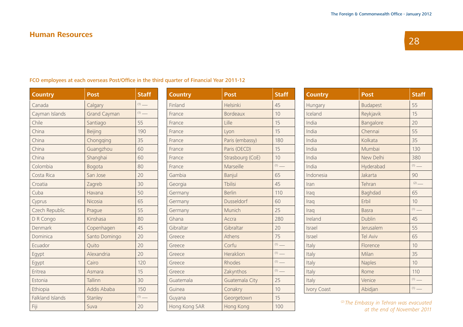### **Human Resources**

### 28

### **Country Post Staff** FCO employees at each overseas Post/Office in the third quarter of Financial Year 2011-12

| Canada                  | Calgary             |     |
|-------------------------|---------------------|-----|
| Cayman Islands          | <b>Grand Cayman</b> |     |
| Chile                   | Santiago            | 55  |
| China                   | Beijing             | 190 |
| China                   | Chongqing           | 35  |
| China                   | Guangzhou           | 60  |
| China                   | Shanghai            | 60  |
| Colombia                | Bogota              | 80  |
| Costa Rica              | San Jose            | 20  |
| Croatia                 | Zagreb              | 30  |
| Cuba                    | Havana              | 50  |
| Cyprus                  | Nicosia             | 65  |
| Czech Republic          | Prague              | 55  |
| D R Congo               | Kinshasa            | 80  |
| Denmark                 | Copenhagen          | 45  |
| Dominica                | Santo Domingo       | 20  |
| Ecuador                 | Quito               | 20  |
| Egypt                   | Alexandria          | 20  |
| Egypt                   | Cairo               | 120 |
| Eritrea                 | Asmara              | 15  |
| Estonia                 | Tallinn             | 30  |
| Ethiopia                | Addis Ababa         | 150 |
| <b>Falkland Islands</b> | Stanley             |     |
| Fiji                    | Suva                | 20  |

| <b>Country</b> | <b>Post</b>      | <b>Staff</b>   |
|----------------|------------------|----------------|
| Finland        | Helsinki         | 45             |
| France         | <b>Bordeaux</b>  | 10             |
| France         | Lille            | 15             |
| France         | Lyon             | 15             |
| France         | Paris (embassy)  | 180            |
| France         | Paris (OECD)     | 15             |
| France         | Strasbourg (CoE) | 10             |
| France         | Marseille        |                |
| Gambia         | Banjul           | 65             |
| Georgia        | <b>Tbilisi</b>   | 45             |
| Germany        | <b>Berlin</b>    | 110            |
| Germany        | Dusseldorf       | 60             |
| Germany        | Munich           | 25             |
| Ghana          | Accra            | 280            |
| Gibraltar      | Gibraltar        | 20             |
| Greece         | Athens           | 75             |
| Greece         | Corfu            |                |
| Greece         | Heraklion        | $(1)$ —        |
| Greece         | Rhodes           | $(1)$ $\qquad$ |
| Greece         | Zakynthos        |                |
| Guatemala      | Guatemala City   | 25             |
| Guinea         | Conakry          | 10             |
| Guyana         | Georgetown       | 15             |
| Hong Kong SAR  | Hong Kong        | 100            |

| <b>Country</b>     | <b>Post</b>     | <b>Staff</b> |
|--------------------|-----------------|--------------|
| Hungary            | <b>Budapest</b> | 55           |
| Iceland            | Reykjavik       | 15           |
| India              | Bangalore       | 20           |
| India              | Chennai         | 55           |
| India              | Kolkata         | 35           |
| India              | Mumbai          | 130          |
| India              | New Delhi       | 380          |
| India              | Hyderabad       |              |
| Indonesia          | Jakarta         | 90           |
| Iran               | Tehran          | $(2)$ —      |
| Iraq               | Baghdad         | 65           |
| Iraq               | Erbil           | 10           |
| Iraq               | <b>Basra</b>    |              |
| Ireland            | Dublin          | 45           |
| Israel             | Jerusalem       | 55           |
| Israel             | <b>Tel Aviv</b> | 65           |
| Italy              | Florence        | 10           |
| Italy              | Milan           | 35           |
| Italy              | <b>Naples</b>   | 10           |
| Italy              | Rome            | 110          |
| Italy              | Venice          | $(1)$ —      |
| <b>Ivory Coast</b> | Abidjan         |              |

(2) *The Embassy in Tehran was evacuated at the end of November 2011*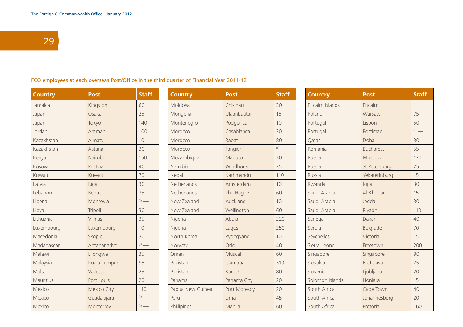### FCO employees at each overseas Post/Office in the third quarter of Financial Year 2011-12

| <b>Country</b> | <b>Post</b>        | <b>Staff</b>   |
|----------------|--------------------|----------------|
| Jamaica        | Kingston           | 60             |
| Japan          | Osaka              | 25             |
| Japan          | Tokyo              | 140            |
| Jordan         | Amman              | 100            |
| Kazakhstan     | Almaty             | 10             |
| Kazakhstan     | Astana             | 30             |
| Kenya          | Nairobi            | 150            |
| Kosova         | Pristina           | 40             |
| Kuwait         | Kuwait             | 70             |
| Latvia         | Riga               | 30             |
| Lebanon        | <b>Beirut</b>      | 75             |
| Liberia        | Monrovia           |                |
| Libya          | Tripoli            | 30             |
| Lithuania      | Vilnius            | 35             |
| Luxembourg     | Luxembourg         | 10             |
| Macedonia      | Skopje             | 30             |
| Madagascar     | Antananarivo       |                |
| Malawi         | Lilongwe           | 35             |
| Malaysia       | Kuala Lumpur       | 95             |
| Malta          | Valletta           | 25             |
| Mauritius      | Port Louis         | 20             |
| Mexico         | <b>Mexico City</b> | 110            |
| Mexico         | Guadalajara        | $(1)$ —        |
| Mexico         | Monterrey          | $(1)$ $\qquad$ |

| <b>Country</b>   | <b>Post</b>  | <b>Staff</b> |
|------------------|--------------|--------------|
| Moldova          | Chisinau     | 30           |
| Mongolia         | Ulaanbaatar  | 15           |
| Montenegro       | Podgorica    | 10           |
| Morocco          | Casablanca   | 20           |
| Morocco          | Rabat        | 80           |
| Morocco          | Tangier      |              |
| Mozambique       | Maputo       | 30           |
| Namibia          | Windhoek     | 25           |
| Nepal            | Kathmandu    | 110          |
| Netherlands      | Amsterdam    | 10           |
| Netherlands      | The Hague    | 60           |
| New Zealand      | Auckland     | 10           |
| New Zealand      | Wellington   | 60           |
| Nigeria          | Abuja        | 220          |
| Nigeria          | Lagos        | 250          |
| North Korea      | Pyongyang    | 10           |
| Norway           | Oslo         | 40           |
| Oman             | Muscat       | 60           |
| Pakistan         | Islamabad    | 310          |
| Pakistan         | Karachi      | 80           |
| Panama           | Panama City  | 20           |
| Papua New Guinea | Port Moresby | 20           |
| Peru             | Lima         | 45           |
| Phillipines      | Manila       | 60           |

| <b>Country</b>   | <b>Post</b>       | <b>Staff</b> |
|------------------|-------------------|--------------|
| Pitcairn Islands | Pitcairn          |              |
| Poland           | Warsaw            | 75           |
| Portugal         | Lisbon            | 50           |
| Portugal         | Portimao          |              |
| Qatar            | Doha              | 30           |
| Romania          | <b>Bucharest</b>  | 55           |
| Russia           | Moscow            | 170          |
| <b>Russia</b>    | St Petersburg     | 25           |
| Russia           | Yekaterinburg     | 15           |
| Rwanda           | Kigali            | 30           |
| Saudi Arabia     | Al Khobar         | 15           |
| Saudi Arabia     | Jedda             | 30           |
| Saudi Arabia     | Riyadh            | 110          |
| Senegal          | Dakar             | 40           |
| Serbia           | Belgrade          | 70           |
| Seychelles       | Victoria          | 15           |
| Sierra Leone     | Freetown          | 200          |
| Singapore        | Singapore         | 90           |
| Slovakia         | <b>Bratislava</b> | 25           |
| Slovenia         | Ljubljana         | 20           |
| Solomon Islands  | Honiara           | 15           |
| South Africa     | Cape Town         | 40           |
| South Africa     | Johannesburg      | 20           |
| South Africa     | Pretoria          | 160          |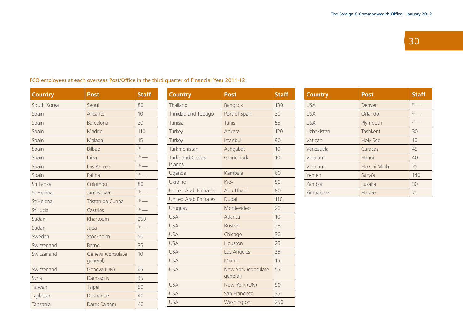

### **Country Post Staff** South Korea Seoul 80 Spain Alicante 10 Spain Barcelona 20 Spain Madrid 110 Spain Malaga 15 Spain Bilbao (1) — Spain  $\left| \right|$  Ibiza  $\left| \right|$  (1) — Spain  $\vert$  Las Palmas  $\vert$  (1) — Spain Palma  $\left| \begin{array}{c} n \end{array} \right|$  (1) — Sri Lanka Colombo 80 St Helena Jamestown  $\left| \begin{array}{ccc} 1 & 1 \\ 1 & -1 \end{array} \right|$ St Helena  $\vert$ Tristan da Cunha  $\vert^{(1)}$  —  $\left| \begin{array}{c} \text{St} \text{ Lucia} \end{array} \right|$  Castries  $\left| \begin{array}{c} \text{(1)} \end{array} \right|$ Sudan Khartoum 250  $\left| \int \right|$  Sudan  $\left| \int \right|$  Juba  $\left| \left| \right|$   $\left| \right|$   $\left| \right|$   $\left| \right|$ Sweden Stockholm 50 Switzerland Berne 35 Switzerland Geneva (consulate general) 10 Switzerland Geneva (UN) 45 Syria **Damascus** 35 Taiwan **Taipei** 50 Tajikistan Dushanbe 40 Tanzania Dares Salaam 40

| <b>Country</b>                     | <b>Post</b>                     | <b>Staff</b> |
|------------------------------------|---------------------------------|--------------|
| Thailand                           | Bangkok                         | 130          |
| Trinidad and Tobago                | Port of Spain                   | 30           |
| Tunisia                            | Tunis                           | 55           |
| Turkey                             | Ankara                          | 120          |
| Turkey                             | Istanbul                        | 90           |
| Turkmenistan                       | Ashgabat                        | 10           |
| <b>Turks and Caicos</b><br>Islands | <b>Grand Turk</b>               | 10           |
| Uganda                             | Kampala                         | 60           |
| Ukraine                            | Kiev                            | 50           |
| <b>United Arab Emirates</b>        | Abu Dhabi                       | 80           |
| <b>United Arab Emirates</b>        | Dubai                           | 110          |
| Uruguay                            | Montevideo                      | 20           |
| <b>USA</b>                         | Atlanta                         | 10           |
| <b>USA</b>                         | <b>Boston</b>                   | 25           |
| <b>USA</b>                         | Chicago                         | 30           |
| <b>USA</b>                         | Houston                         | 25           |
| <b>USA</b>                         | Los Angeles                     | 35           |
| <b>USA</b>                         | Miami                           | 15           |
| <b>USA</b>                         | New York (consulate<br>general) | 55           |
| <b>USA</b>                         | New York (UN)                   | 90           |
| <b>USA</b>                         | San Francisco                   | 35           |
| <b>USA</b>                         | Washington                      | 250          |

| <b>Country</b> | <b>Post</b>     | <b>Staff</b> |
|----------------|-----------------|--------------|
| <b>USA</b>     | Denver          |              |
| <b>USA</b>     | Orlando         |              |
| <b>USA</b>     | Plymouth        | $(1)$ —      |
| Uzbekistan     | Tashkent        | 30           |
| Vatican        | <b>Holy See</b> | 10           |
| Venezuela      | Caracas         | 45           |
| Vietnam        | Hanoi           | 40           |
| Vietnam        | Ho Chi Minh     | 25           |
| Yemen          | Sana'a          | 140          |
| Zambia         | Lusaka          | 30           |
| Zimbabwe       | Harare          | 70           |

### FCO employees at each overseas Post/Office in the third quarter of Financial Year 2011-12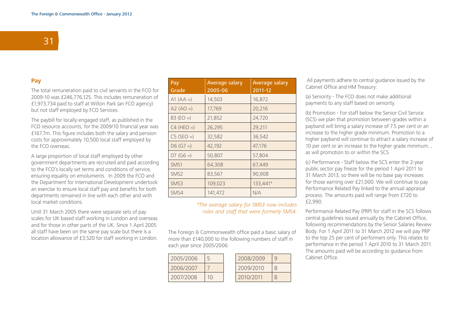### **Pay**

The total remuneration paid to civil servants in the FCO for 2009-10 was £246,776,125. This includes remuneration of £1,973,734 paid to staff at Wilton Park (an FCO agency) but not staff employed by FCO Services.

The paybill for locally-engaged staff, as published in the FCO resource accounts, for the 2009/10 financial year was £167.7m. This figure includes both the salary and pension costs for approximately 10,500 local staff employed by the FCO overseas.

A large proportion of local staff employed by other government departments are recruited and paid according to the FCO's locally set terms and conditions of service, ensuring equality on emoluments. In 2009 the FCO and the Department for International Development undertook an exercise to ensure local staff pay and benefits for both departments remained in line with each other and with local market conditions.

Until 31 March 2005 there were separate sets of pay scales for UK based staff working in London and overseas and for those in other parts of the UK. Since 1 April 2005 all staff have been on the same pay scale but there is a location allowance of £3,520 for staff working in London.

| Pay<br>Grade     | <b>Average salary</b><br>2005-06 | <b>Average salary</b><br>$2011 - 12$ |
|------------------|----------------------------------|--------------------------------------|
| A1 $(AA = )$     | 14,503                           | 16,872                               |
| $A2 (AO =)$      | 17,769                           | 20,216                               |
| $B3$ (EO =)      | 21,852                           | 24,720                               |
| $C4$ (HEO $=$ )  | 26,295                           | 29,211                               |
| $CS$ (SEO $=$ )  | 32,582                           | 36,542                               |
| $D6(G7=)$        | 42,192                           | 47,176                               |
| $D7 (G6 = )$     | 50,807                           | 57,804                               |
| SMS1             | 64,308                           | 67,449                               |
| SMS <sub>2</sub> | 83,567                           | 90,908                               |
| SMS3             | 109,023                          | 133,441*                             |
| SMS4             | 141,472                          | N/A                                  |

*\*The average salary for SMS3 now includes roles and staff that were formerly SMS4.*

The Foreign & Commonwealth office paid a basic salary of more than £140,000 to the following numbers of staff in each year since 2005/2006:

| 2005/2006<br>Ь |                | 2008/2009 | q |
|----------------|----------------|-----------|---|
| 2006/2007      |                | 2009/2010 | 8 |
| 2007/2008      | 1 <sub>0</sub> | 2010/2011 | 8 |

 All payments adhere to central guidance issued by the Cabinet Office and HM Treasury:

(a) Seniority - The FCO does not make additional payments to any staff based on seniority.

(b) Promotion - For staff below the Senior Civil Service (SCS) we plan that promotion between grades within a payband will bring a salary increase of 7.5 per cent or an increase to the higher grade minimum. Promotion to a higher payband will continue to attract a salary increase of 10 per cent or an increase to the higher grade minimum. , as will promotion to or within the SCS

(c) Performance - Staff below the SCS enter the 2-year public sector pay freeze for the period 1 April 2011 to 31 March 2013, so there will be no base pay increases for those earning over £21,000. We will continue to pay Performance Related Pay linked to the annual appraisal process. The amounts paid will range from £720 to £2,990.

Performance Related Pay (PRP) for staff in the SCS follows central guidelines issued annually by the Cabinet Office, following recommendations by the Senior Salaries Review Body. For 1 April 2011 to 31 March 2012 we will pay PRP to the top 25 per cent of performers only. This relates to performance in the period 1 April 2010 to 31 March 2011. The amounts paid will be according to guidance from Cabinet Office.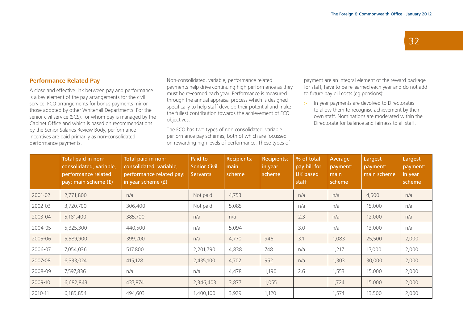### **Performance Related Pay**

A close and effective link between pay and performance is a key element of the pay arrangements for the civil service. FCO arrangements for bonus payments mirror those adopted by other Whitehall Departments. For the senior civil service (SCS), for whom pay is managed by the Cabinet Office and which is based on recommendations by the Senior Salaries Review Body, performance incentives are paid primarily as non-consolidated performance payments.

Non-consolidated, variable, performance related payments help drive continuing high performance as they must be re-earned each year. Performance is measured through the annual appraisal process which is designed specifically to help staff develop their potential and make the fullest contribution towards the achievement of FCO objectives.

The FCO has two types of non consolidated, variable performance pay schemes, both of which are focussed on rewarding high levels of performance. These types of

payment are an integral element of the reward package for staff, have to be re-earned each year and do not add to future pay bill costs (eg pensions):

> In-year payments are devolved to Directorates to allow them to recognise achievement by their own staff. Nominations are moderated within the Directorate for balance and fairness to all staff.

|         | Total paid in non-<br>consolidated, variable,<br>performance related<br>pay: main scheme (£) | Total paid in non-<br>consolidated, variable,<br>performance related pay:<br>in year scheme (f) | Paid to<br><b>Senior Civil</b><br><b>Servants</b> | <b>Recipients:</b><br>main<br>scheme | <b>Recipients:</b><br>in year<br>scheme | % of total<br>pay bill for<br><b>UK based</b><br>staff | Average<br>payment:<br>main<br>scheme | Largest<br>payment:<br>main scheme | Largest<br>payment:<br>in year<br>scheme |
|---------|----------------------------------------------------------------------------------------------|-------------------------------------------------------------------------------------------------|---------------------------------------------------|--------------------------------------|-----------------------------------------|--------------------------------------------------------|---------------------------------------|------------------------------------|------------------------------------------|
| 2001-02 | 2,771,800                                                                                    | n/a                                                                                             | Not paid                                          | 4,753                                |                                         | n/a                                                    | n/a                                   | 4,500                              | n/a                                      |
| 2002-03 | 3,720,700                                                                                    | 306,400                                                                                         | Not paid                                          | 5,085                                |                                         | n/a                                                    | n/a                                   | 15,000                             | n/a                                      |
| 2003-04 | 5,181,400                                                                                    | 385,700                                                                                         | n/a                                               | n/a                                  |                                         | 2.3                                                    | n/a                                   | 12,000                             | n/a                                      |
| 2004-05 | 5,325,300                                                                                    | 440,500                                                                                         | n/a                                               | 5,094                                |                                         | 3.0                                                    | n/a                                   | 13,000                             | n/a                                      |
| 2005-06 | 5,589,900                                                                                    | 399,200                                                                                         | n/a                                               | 4,770                                | 946                                     | 3.1                                                    | 1,083                                 | 25,500                             | 2,000                                    |
| 2006-07 | 7,054,036                                                                                    | 517,800                                                                                         | 2,201,790                                         | 4,838                                | 748                                     | n/a                                                    | 1,217                                 | 17,000                             | 2,000                                    |
| 2007-08 | 6,333,024                                                                                    | 415,128                                                                                         | 2,435,100                                         | 4,702                                | 952                                     | n/a                                                    | 1,303                                 | 30,000                             | 2,000                                    |
| 2008-09 | 7,597,836                                                                                    | n/a                                                                                             | n/a                                               | 4,478                                | 1,190                                   | 2.6                                                    | 1,553                                 | 15,000                             | 2,000                                    |
| 2009-10 | 6,682,843                                                                                    | 437,874                                                                                         | 2,346,403                                         | 3,877                                | 1,055                                   |                                                        | 1,724                                 | 15,000                             | 2,000                                    |
| 2010-11 | 6,185,854                                                                                    | 494,603                                                                                         | 1,400,100                                         | 3,929                                | 1,120                                   |                                                        | 1,574                                 | 13,500                             | 2,000                                    |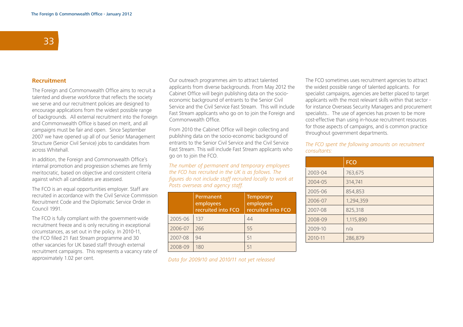### **Recruitment**

The Foreign and Commonwealth Office aims to recruit a talented and diverse workforce that reflects the society we serve and our recruitment policies are designed to encourage applications from the widest possible range of backgrounds. All external recruitment into the Foreign and Commonwealth Office is based on merit, and all campaigns must be fair and open. Since September 2007 we have opened up all of our Senior Management Structure (Senior Civil Service) jobs to candidates from across Whitehall.

In addition, the Foreign and Commonwealth Office's internal promotion and progression schemes are firmly meritocratic, based on objective and consistent criteria against which all candidates are assessed.

The FCO is an equal opportunities employer. Staff are recruited in accordance with the Civil Service Commission Recruitment Code and the Diplomatic Service Order in Council 1991.

The FCO is fully compliant with the government-wide recruitment freeze and is only recruiting in exceptional circumstances, as set out in the policy. In 2010-11, the FCO filled 21 Fast Stream programme and 30 other vacancies for UK based staff through external recruitment campaigns. This represents a vacancy rate of approximately 1.02 per cent.

Our outreach programmes aim to attract talented applicants from diverse backgrounds. From May 2012 the Cabinet Office will begin publishing data on the socioeconomic background of entrants to the Senior Civil Service and the Civil Service Fast Stream. This will include Fast Stream applicants who go on to join the Foreign and Commonwealth Office.

From 2010 the Cabinet Office will begin collecting and publishing data on the socio-economic background of entrants to the Senior Civil Service and the Civil Service Fast Stream. This will include Fast Stream applicants who go on to join the FCO.

*The number of permanent and temporary employees the FCO has recruited in the UK is as follows. The figures do not include staff recruited locally to work at Posts overseas and agency staff.*

|         | Permanent<br>employees<br>recruited into FCO | <b>Temporary</b><br>employees<br>recruited into FCO |
|---------|----------------------------------------------|-----------------------------------------------------|
| 2005-06 | 137                                          | 44                                                  |
| 2006-07 | 266                                          | 55                                                  |
| 2007-08 | 94                                           | 51                                                  |
| 2008-09 | 180                                          |                                                     |

*Data for 2009/10 and 2010/11 not yet released*

The FCO sometimes uses recruitment agencies to attract the widest possible range of talented applicants. For specialist campaigns, agencies are better placed to target applicants with the most relevant skills within that sector for instance Overseas Security Managers and procurement specialists.. The use of agencies has proven to be more cost-effective than using in-house recruitment resources for those aspects of campaigns, and is common practice throughout government departments.

#### *The FCO spent the following amounts on recruitment consultants:*

|         | <b>FCO</b> |
|---------|------------|
| 2003-04 | 763,675    |
| 2004-05 | 314,741    |
| 2005-06 | 854,853    |
| 2006-07 | 1,294,359  |
| 2007-08 | 825,318    |
| 2008-09 | 1,115,890  |
| 2009-10 | n/a        |
| 2010-11 | 286,879    |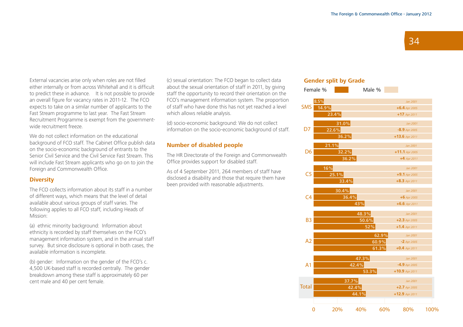External vacancies arise only when roles are not filled either internally or from across Whitehall and it is difficult to predict these in advance. It is not possible to provide an overall figure for vacancy rates in 2011-12. The FCO expects to take on a similar number of applicants to the Fast Stream programme to last year. The Fast Stream Recruitment Programme is exempt from the governmentwide recruitment freeze.

We do not collect information on the educational background of FCO staff. The Cabinet Office publish data on the socio-economic background of entrants to the Senior Civil Service and the Civil Service Fast Stream. This will include Fast Stream applicants who go on to join the Foreign and Commonwealth Office.

### **Diversity**

The FCO collects information about its staff in a number of different ways, which means that the level of detail available about various groups of staff varies. The following applies to all FCO staff, including Heads of Mission:

(a) ethnic minority background: Information about ethnicity is recorded by staff themselves on the FCO's management information system, and in the annual staff survey. But since disclosure is optional in both cases, the available information is incomplete.

(b) gender: Information on the gender of the FCO's c. 4,500 UK-based staff is recorded centrally. The gender breakdown among these staff is approximately 60 per cent male and 40 per cent female.

(c) sexual orientation: The FCO began to collect data about the sexual orientation of staff in 2011, by giving staff the opportunity to record their orientation on the FCO's management information system. The proportion of staff who have done this has not yet reached a level which allows reliable analysis.

(d) socio-economic background: We do not collect information on the socio-economic background of staff.

### **Number of disabled people**

The HR Directorate of the Foreign and Commonwealth Office provides support for disabled staff.

As of 4 September 2011, 264 members of staff have disclosed a disability and those that require them have been provided with reasonable adjustments. **+8.3%**

### **Gender split by Grade**

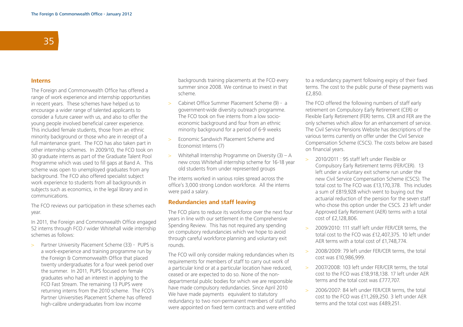#### **Interns**

The Foreign and Commonwealth Office has offered a range of work experience and internship opportunities in recent years. These schemes have helped us to encourage a wider range of talented applicants to consider a future career with us, and also to offer the young people involved beneficial career experience. This included female students, those from an ethnic minority background or those who are in receipt of a full maintenance grant. The FCO has also taken part in other internship schemes. In 2009/10, the FCO took on 30 graduate interns as part of the Graduate Talent Pool Programme which was used to fill gaps at Band A. This scheme was open to unemployed graduates from any background. The FCO also offered specialist subject work experience to students from all backgrounds in subjects such as economics, in the legal library and in communications.

The FCO reviews our participation in these schemes each year.

In 2011, the Foreign and Commonwealth Office engaged 52 interns through FCO / wider Whitehall wide internship schemes as follows:

Partner University Placement Scheme (33) - PUPS is a work-experience and training programme run by the Foreign & Commonwealth Office that placed twenty undergraduates for a four week period over the summer. In 2011, PUPS focused on female graduates who had an interest in applying to the FCO Fast Stream. The remaining 13 PUPS were returning interns from the 2010 scheme. The FCO's Partner Universities Placement Scheme has offered high-calibre undergraduates from low income

backgrounds training placements at the FCO every summer since 2008. We continue to invest in that scheme.

- > Cabinet Office Summer Placement Scheme (9) a government-wide diversity outreach programme. The FCO took on five interns from a low socioeconomic background and four from an ethnic minority background for a period of 6-9 weeks
- > Economic Sandwich Placement Scheme and Economist Interns (7)
- $>$  Whitehall Internship Programme on Diversity (3) A new cross Whitehall internship scheme for 16-18 year old students from under represented groups

The interns worked in various roles spread across the office's 3,000 strong London workforce. All the interns were paid a salary.

### **Redundancies and staff leaving**

The FCO plans to reduce its workforce over the next four years in line with our settlement in the Comprehensive Spending Review. This has not required any spending on compulsory redundancies which we hope to avoid through careful workforce planning and voluntary exit rounds.

The FCO will only consider making redundancies when its requirements for members of staff to carry out work of a particular kind or at a particular location have reduced, ceased or are expected to do so. None of the nondepartmental public bodies for which we are responsible have made compulsory redundancies. Since April 2010 We have made payments equivalent to statutory redundancy to two non-permanent members of staff who were appointed on fixed term contracts and were entitled

to a redundancy payment following expiry of their fixed terms. The cost to the public purse of these payments was £2,850.

The FCO offered the following numbers of staff early retirement on Compulsory Early Retirement (CER) or Flexible Early Retirement (FER) terms. CER and FER are the only schemes which allow for an enhancement of service. The Civil Service Pensions Website has descriptions of the various terms currently on offer under the Civil Service Compensation Scheme (CSCS). The costs below are based on financial years.

- > 2010/2011 : 95 staff left under Flexible or Compulsory Early Retirement terms (FER/CER). 13 left under a voluntary exit scheme run under the new Civil Service Compensation Scheme (CSCS). The total cost to The FCO was £13,170,378. This includes a sum of £819,928 which went to buying out the actuarial reduction of the pension for the seven staff who chose this option under the CSCS. 23 left under Approved Early Retirement (AER) terms with a total cost of £2,128,806.
- > 2009/2010: 111 staff left under FER/CER terms, the total cost to the FCO was £12,407,375. 10 left under AFR terms with a total cost of £1,748,774.
- > 2008/2009: 79 left under FER/CER terms, the total cost was £10,986,999.
- > 2007/2008: 103 left under FER/CER terms, the total cost to the FCO was £18,918,138. 17 left under AER terms and the total cost was £777,707.
- > 2006/2007: 84 left under FER/CER terms, the total cost to the FCO was £11,269,250. 3 left under AER terms and the total cost was £489,251.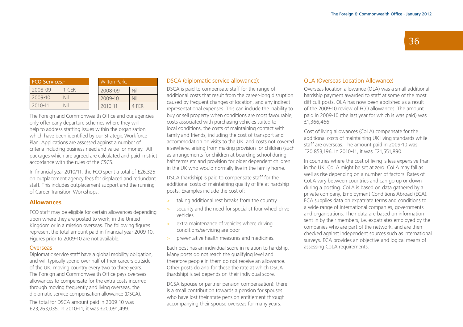| <b>FCO Services:-</b> |       |  |
|-----------------------|-------|--|
| 2008-09               | 1 CFR |  |
| 2009-10               | Nil   |  |
| $2010 - 11$           | Nil   |  |

| <b>Wilton Park:-</b> |       |  |
|----------------------|-------|--|
| 2008-09              | Nil   |  |
| 2009-10              | Nil   |  |
| $2010 - 11$          | 4 FFR |  |

The Foreign and Commonwealth Office and our agencies only offer early departure schemes where they will help to address staffing issues within the organisation which have been identified by our Strategic Workforce Plan. Applications are assessed against a number of criteria including business need and value for money. All packages which are agreed are calculated and paid in strict accordance with the rules of the CSCS.

In financial year 2010/11, the FCO spent a total of £26,325 on outplacement agency fees for displaced and redundant staff. This includes outplacement support and the running of Career Transition Workshops.

#### **Allowances**

FCO staff may be eligible for certain allowances depending upon where they are posted to work; in the United Kingdom or in a mission overseas. The following figures represent the total amount paid in financial year 2009-10. Figures prior to 2009-10 are not available.

### **Overseas**

Diplomatic service staff have a global mobility obligation, and will typically spend over half of their careers outside of the UK, moving country every two to three years. The Foreign and Commonwealth Office pays overseas allowances to compensate for the extra costs incurred through moving frequently and living overseas, the diplomatic service compensation allowance (DSCA). The total for DSCA amount paid in 2009-10 was £23,263,035. In 2010-11, it was £20,091,499.

### DSCA (diplomatic service allowance):

DSCA is paid to compensate staff for the range of additional costs that result from the career-long disruption caused by frequent changes of location, and any indirect representational expenses. This can include the inability to buy or sell property when conditions are most favourable, costs associated with purchasing vehicles suited to local conditions, the costs of maintaining contact with family and friends, including the cost of transport and accommodation on visits to the UK and costs not covered elsewhere, arising from making provision for children (such as arrangements for children at boarding school during half terms etc and provision for older dependent children in the UK who would normally live in the family home.

DSCA (hardship) is paid to compensate staff for the additional costs of maintaining quality of life at hardship posts. Examples include the cost of:

- > taking additional rest breaks from the country
- security and the need for specialist four wheel drive vehicles
- > extra maintenance of vehicles where driving conditions/servicing are poor
- > preventative health measures and medicines.

Each post has an individual score in relation to hardship. Many posts do not reach the qualifying level and therefore people in them do not receive an allowance. Other posts do and for these the rate at which DSCA (hardship) is set depends on their individual score.

DCSA (spouse or partner pension compensation): there is a small contribution towards a pension for spouses who have lost their state pension entitlement through accompanying their spouse overseas for many years.

### OLA (Overseas Location Allowance)

Overseas location allowance (OLA) was a small additional hardship payment awarded to staff at some of the most difficult posts. OLA has now been abolished as a result of the 2009-10 review of FCO allowances. The amount paid in 2009-10 (the last year for which is was paid) was £1,366,466.

Cost of living allowances (CoLA) compensate for the additional costs of maintaining UK living standards while staff are overseas. The amount paid in 2009-10 was £20,853,196. In 2010-11, it was £21,551,890.

In countries where the cost of living is less expensive than in the UK, CoLA might be set at zero. CoLA may fall as well as rise depending on a number of factors. Rates of CoLA vary between countries and can go up or down during a posting. CoLA is based on data gathered by a private company, Employment Conditions Abroad (ECA). ECA supplies data on expatriate terms and conditions to a wide range of international companies, governments and organisations. Their data are based on information sent in by their members, i.e. expatriates employed by the companies who are part of the network, and are then checked against independent sources such as international surveys. ECA provides an objective and logical means of assessing CoLA requirements.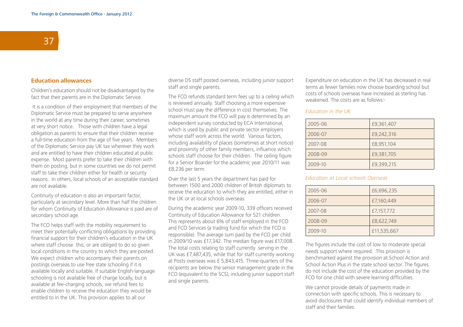### **Education allowances**

Children's education should not be disadvantaged by the fact that their parents are in the Diplomatic Service.

 It is a condition of their employment that members of the Diplomatic Service must be prepared to serve anywhere in the world at any time during their career, sometimes at very short notice. Those with children have a legal obligation as parents to ensure that their children receive a full-time education from the age of five years. Members of the Diplomatic Service pay UK tax wherever they work and are entitled to have their children educated at public expense. Most parents prefer to take their children with them on posting, but in some countries we do not permit staff to take their children either for health or security reasons. In others, local schools of an acceptable standard are not available.

Continuity of education is also an important factor, particularly at secondary level. More than half the children for whom Continuity of Education Allowance is paid are of secondary school age.

The FCO helps staff with the mobility requirement to meet their potentially conflicting obligations by providing financial support for their children's education in the UK where staff choose this, or are obliged to do so given local conditions in the country to which they are posted. We expect children who accompany their parents on postings overseas to use free state schooling if it is available locally and suitable. If suitable English-language schooling is not available free of charge locally, but is available at fee-charging schools, we refund fees to enable children to receive the education they would be entitled to in the UK. This provision applies to all our

diverse DS staff posted overseas, including junior support staff and single parents.

The FCO refunds standard term fees up to a ceiling which is reviewed annually. Staff choosing a more expensive school must pay the difference in cost themselves. The maximum amount the FCO will pay is determined by an independent survey conducted by ECA International, which is used by public and private sector employers whose staff work across the world. Various factors, including availability of places (sometimes at short notice) and proximity of other family members, influence which schools staff choose for their children. The ceiling figure for a Senior Boarder for the academic year 2010/11 was £8,236 per term.

Over the last 5 years the department has paid for between 1500 and 2000 children of British diplomats to receive the education to which they are entitled, either in the UK or at local schools overseas.

During the academic year 2009-10, 339 officers received Continuity of Education Allowance for 521 children. This represents about 6% of staff employed in the FCO and FCO Services (a trading fund for which the FCO is responsible). The average sum paid by the FCO per child in 2009/10 was £17,342. The median figure was £17,008. The total costs relating to staff currently serving in the UK was £7,487,435, while that for staff currently working at Posts overseas was £ 5,843,415. Three-quarters of the recipients are below the senior management grade in the FCO (equivalent to the SCS), including junior support staff and single parents.

Expenditure on education in the UK has decreased in real terms as fewer families now choose boarding school but costs of schools overseas have increased as sterling has weakened. The costs are as follows:-

#### *Education in the UK*

| 2005-06 | £9,361,407 |
|---------|------------|
| 2006-07 | £9,242,316 |
| 2007-08 | £8,951,104 |
| 2008-09 | £9,381,705 |
| 2009-10 | £9,399,215 |

#### *Education at Local schools Overseas*

| 2005-06 | £6,696,235  |
|---------|-------------|
| 2006-07 | £7,160,449  |
| 2007-08 | £7,157,772  |
| 2008-09 | £8,622,749  |
| 2009-10 | £11,535,667 |

The figures include the cost of low to moderate special needs support where required. This provision is benchmarked against the provision at School Action and School Action Plus in the state school sector. The figures do not include the cost of the education provided by the FCO for one child with severe learning difficulties.

We cannot provide details of payments made in connection with specific schools. This is necessary to avoid disclosures that could identify individual members of staff and their families.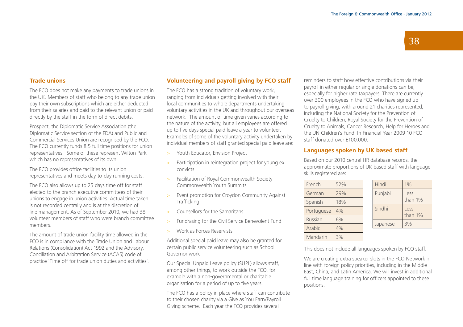### **Trade unions**

The FCO does not make any payments to trade unions in the UK. Members of staff who belong to any trade union pay their own subscriptions which are either deducted from their salaries and paid to the relevant union or paid directly by the staff in the form of direct debits.

Prospect, the Diplomatic Service Association (the Diplomatic Service section of the FDA) and Public and Commercial Services Union are recognised by the FCO. The FCO currently funds 8.5 full time positions for union representatives. Some of these represent Wilton Park which has no representatives of its own.

The FCO provides office facilities to its union representatives and meets day-to-day running costs.

The FCO also allows up to 25 days time off for staff elected to the branch executive committees of their unions to engage in union activities. Actual time taken is not recorded centrally and is at the discretion of line management. As of September 2010, we had 38 volunteer members of staff who were branch committee members.

The amount of trade union facility time allowed in the FCO is in compliance with the Trade Union and Labour Relations (Consolidation) Act 1992 and the Advisory, Conciliation and Arbitration Service (ACAS) code of practice 'Time off for trade union duties and activities'.

### **Volunteering and payroll giving by FCO staff**

The FCO has a strong tradition of voluntary work, ranging from individuals getting involved with their local communities to whole departments undertaking voluntary activities in the UK and throughout our overseas network. The amount of time given varies according to the nature of the activity, but all employees are offered up to five days special paid leave a year to volunteer. Examples of some of the voluntary activity undertaken by individual members of staff granted special paid leave are:

- > Youth Educator, Envision Project
- > Participation in reintegration project for young ex convicts
- > Facilitation of Royal Commonwealth Society Commonwealth Youth Summits
- > Event promotion for Croydon Community Against **Trafficking**
- > Counsellors for the Samaritans
- > Fundrasing for the Civil Service Benevolent Fund
- > Work as Forces Reservists

Additional special paid leave may also be granted for certain public service volunteering such as School Governor work

Our Special Unpaid Leave policy (SUPL) allows staff, among other things, to work outside the FCO, for example with a non-governmental or charitable organisation for a period of up to five years.

The FCO has a policy in place where staff can contribute to their chosen charity via a Give as You Earn/Payroll Giving scheme. Each year the FCO provides several

reminders to staff how effective contributions via their payroll in either regular or single donations can be, especially for higher rate taxpayers. There are currently over 300 employees in the FCO who have signed up to payroll giving, with around 21 charities represented, including the National Society for the Prevention of Cruelty to Children, Royal Society for the Prevention of Cruelty to Animals, Cancer Research, Help for Heroes and the UN Children's Fund. In Financial Year 2009-10 FCO staff donated over £100,000.

### **Languages spoken by UK based staff**

Based on our 2010 central HR database records, the approximate proportions of UK-based staff with language skills registered are:

| French     | 52% |
|------------|-----|
| German     | 29% |
| Spanish    | 18% |
| Portuguese | 4%  |
| Russian    | 6%  |
| Arabic     | 4%  |
| Mandarin   | 3%  |

| Hindi    | 1%              |
|----------|-----------------|
| Punjabi  | Less<br>than 1% |
| Sindhi   | Less<br>than 1% |
| Japanese | 3%              |

This does not include all languages spoken by FCO staff.

We are creating extra speaker slots in the FCO Network in line with foreign policy priorities, including in the Middle East, China, and Latin America. We will invest in additional full time language training for officers appointed to these positions.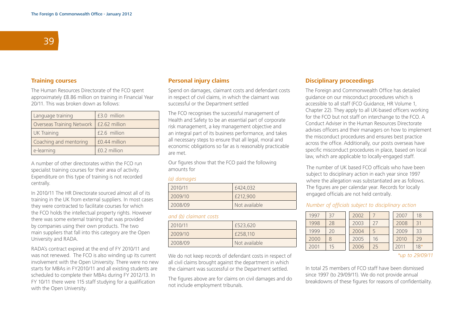#### **Training courses**

The Human Resources Directorate of the FCO spent approximately £8.86 million on training in Financial Year 20/11. This was broken down as follows:

| Language training                         | £3.0 million  |
|-------------------------------------------|---------------|
| Overseas Training Network   £2.62 million |               |
| <b>UK Training</b>                        | £2.6 million  |
| Coaching and mentoring                    | £0.44 million |
| e-learning                                | £0.2 million  |

A number of other directorates within the FCO run specialist training courses for their area of activity. Expenditure on this type of training is not recorded centrally.

In 2010/11 The HR Directorate sourced almost all of its training in the UK from external suppliers. In most cases they were contracted to facilitate courses for which the FCO holds the intellectual property rights. However there was some external training that was provided by companies using their own products. The two main suppliers that fall into this category are the Open University and RADA.

RADA's contract expired at the end of FY 2010/11 and was not renewed. The FCO is also winding up its current involvement with the Open University. There were no new starts for MBAs in FY2010/11 and all existing students are scheduled to complete their MBAs during FY 2012/13. In FY 10/11 there were 115 staff studying for a qualification with the Open University.

### **Personal injury claims**

Spend on damages, claimant costs and defendant costs in respect of civil claims, in which the claimant was successful or the Department settled

The FCO recognises the successful management of Health and Safety to be an essential part of corporate risk management, a key management objective and an integral part of its business performance, and takes all necessary steps to ensure that all legal, moral and economic obligations so far as is reasonably practicable are met.

Our figures show that the FCO paid the following amounts for

### *(a) damages*

| 2010/11 | £424,032      |
|---------|---------------|
| 2009/10 | £212,900      |
| 2008/09 | Not available |

#### *and (b) claimant costs*

| 2010/11 | £523,620      |
|---------|---------------|
| 2009/10 | £258,110      |
| 2008/09 | Not available |

We do not keep records of defendant costs in respect of all civil claims brought against the department in which the claimant was successful or the Department settled.

The figures above are for claims on civil damages and do not include employment tribunals.

### **Disciplinary proceedings**

The Foreign and Commonwealth Office has detailed guidance on our misconduct procedures which is accessible to all staff (FCO Guidance, HR Volume 1, Chapter 22). They apply to all UK-based officers working for the FCO but not staff on interchange to the FCO. A Conduct Adviser in the Human Resources Directorate advises officers and their managers on how to implement the misconduct procedures and ensures best practice across the office. Additionally, our posts overseas have specific misconduct procedures in place, based on local law, which are applicable to locally-engaged staff.

The number of UK based FCO officials who have been subject to disciplinary action in each year since 1997 where the allegation was substantiated are as follows. The figures are per calendar year. Records for locally engaged officials are not held centrally.

#### *Number of officials subject to disciplinary action*

| 1997 | 37 | 2002 |    | 2007 | 18    |
|------|----|------|----|------|-------|
| 1998 | 28 | 2003 | 27 | 2008 | 31    |
| 1999 | 20 | 2004 | 5  | 2009 | 33    |
| 2000 | 8  | 2005 | 16 | 2010 | 29    |
| 2001 | 15 | 2006 | 25 | 2011 | $18*$ |

#### \**up to 29/09/11*

In total 25 members of FCO staff have been dismissed since 1997 (to 29/09/11). We do not provide annual breakdowns of these figures for reasons of confidentiality.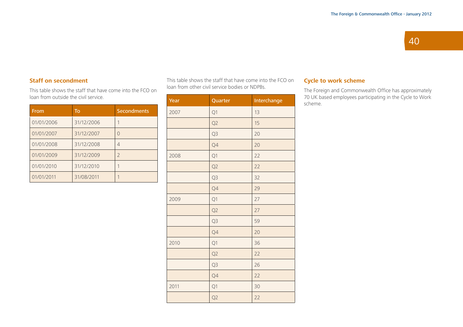

### **Staff on secondment**

This table shows the staff that have come into the FCO on loan from outside the civil service.

| From       | To         | <b>Secondments</b> |
|------------|------------|--------------------|
| 01/01/2006 | 31/12/2006 |                    |
| 01/01/2007 | 31/12/2007 | $\left( \right)$   |
| 01/01/2008 | 31/12/2008 | 4                  |
| 01/01/2009 | 31/12/2009 | 2                  |
| 01/01/2010 | 31/12/2010 |                    |
| 01/01/2011 | 31/08/2011 |                    |

This table shows the staff that have come into the FCO on loan from other civil service bodies or NDPBs.

| Year | Quarter        | Interchange |
|------|----------------|-------------|
| 2007 | Q <sub>1</sub> | 13          |
|      | Q <sub>2</sub> | 15          |
|      | Q <sub>3</sub> | 20          |
|      | Q4             | 20          |
| 2008 | Q1             | 22          |
|      | Q <sub>2</sub> | 22          |
|      | Q <sub>3</sub> | 32          |
|      | Q4             | 29          |
| 2009 | Q <sub>1</sub> | 27          |
|      | Q <sub>2</sub> | 27          |
|      | Q3             | 59          |
|      | Q4             | 20          |
| 2010 | Q1             | 36          |
|      | Q2             | 22          |
|      | Q3             | 26          |
|      | Q4             | 22          |
| 2011 | Q1             | 30          |
|      | Q2             | 22          |

### **Cycle to work scheme**

The Foreign and Commonwealth Office has approximately 70 UK based employees participating in the Cycle to Work scheme.